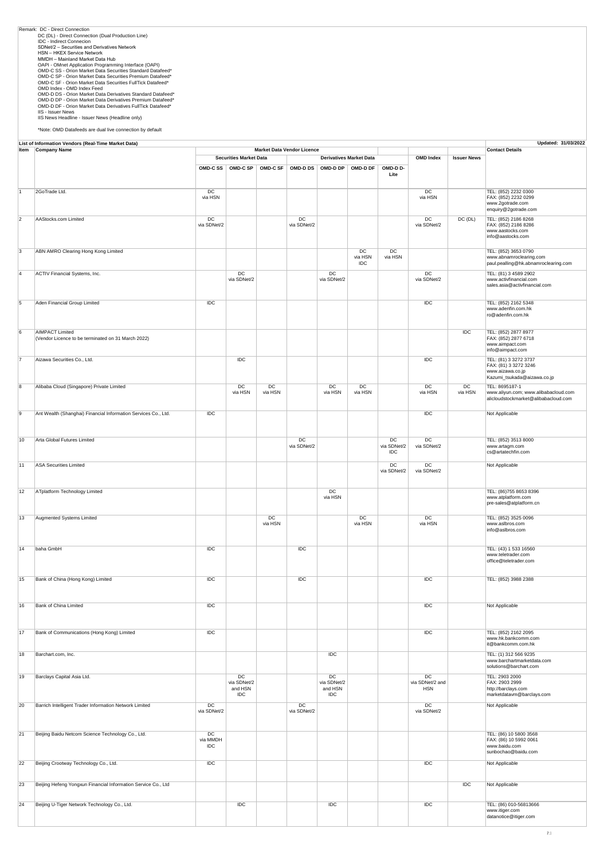IIS News Headline - Issuer News (Headline only)

\*Note: OMD Datafeeds are dual live connection by default

| List of Information Vendors (Real-Time Market Data) |                                                                                                               |                          |                                      |                      |                                   |                                      |                      |                                 |                               |                    | Updated: 31/03/2022                                                                               |
|-----------------------------------------------------|---------------------------------------------------------------------------------------------------------------|--------------------------|--------------------------------------|----------------------|-----------------------------------|--------------------------------------|----------------------|---------------------------------|-------------------------------|--------------------|---------------------------------------------------------------------------------------------------|
|                                                     | Item Company Name                                                                                             |                          |                                      |                      | <b>Market Data Vendor Licence</b> |                                      |                      |                                 |                               |                    | <b>Contact Details</b>                                                                            |
|                                                     |                                                                                                               |                          | <b>Securities Market Data</b>        |                      |                                   | <b>Derivatives Market Data</b>       |                      |                                 | <b>OMD Index</b>              | <b>Issuer News</b> |                                                                                                   |
|                                                     |                                                                                                               |                          | OMD-CSS OMD-CSP                      | <b>OMD-C SF</b>      |                                   | OMD-D DS   OMD-D DP                  | OMD-D DF             | OMD-D D-<br>Lite                |                               |                    |                                                                                                   |
| $\vert$ 1                                           | 2GoTrade Ltd.                                                                                                 | DC<br>via HSN            |                                      |                      |                                   |                                      |                      |                                 | DC<br>via HSN                 |                    | TEL: (852) 2232 0300<br>FAX: (852) 2232 0299<br>www.2gotrade.com<br>enquiry@2gotrade.com          |
| $\overline{2}$                                      | AAStocks.com Limited                                                                                          | DC<br>via SDNet/2        |                                      |                      | DC<br>via SDNet/2                 |                                      |                      |                                 | <b>DC</b><br>via SDNet/2      | $DC$ $(DL)$        | TEL: (852) 2186 8268<br>FAX: (852) 2186 8286<br>www.aastocks.com<br>info@aastocks.com             |
| $\overline{3}$                                      | ABN AMRO Clearing Hong Kong Limited                                                                           |                          |                                      |                      |                                   |                                      | DC<br>via HSN<br>IDC | DC<br>via HSN                   |                               |                    | TEL: (852) 3653 0790<br>www.abnamroclearing.com<br>paul.pealling@hk.abnamroclearing.com           |
| $\overline{4}$                                      | ACTIV Financial Systems, Inc.                                                                                 |                          | DC<br>via SDNet/2                    |                      |                                   | $DC$<br>via SDNet/2                  |                      |                                 | DC<br>via SDNet/2             |                    | TEL: (81) 3 4589 2902<br>www.activfinancial.com<br>sales.asia@activfinancial.com                  |
| 5                                                   | Aden Financial Group Limited                                                                                  | <b>IDC</b>               |                                      |                      |                                   |                                      |                      |                                 | <b>IDC</b>                    |                    | TEL: (852) 2162 5348<br>www.adenfin.com.hk<br>ro@adenfin.com.hk                                   |
| 6                                                   | <b>AIMPACT Limited</b><br>(Vendor Licence to be terminated on 31 March 2022)                                  |                          |                                      |                      |                                   |                                      |                      |                                 |                               | <b>IDC</b>         | TEL: (852) 2877 8977<br>FAX: (852) 2877 6718<br>www.aimpact.com<br>info@aimpact.com               |
| $\overline{7}$                                      | Aizawa Securities Co., Ltd.                                                                                   |                          | <b>IDC</b>                           |                      |                                   |                                      |                      |                                 | <b>IDC</b>                    |                    | TEL: (81) 3 3272 3737<br>FAX: (81) 3 3272 3246<br>www.aizawa.co.jp<br>Kazumi_tsukada@aizawa.co.jp |
| 8                                                   | Alibaba Cloud (Singapore) Private Limited                                                                     |                          | <b>DC</b><br>via HSN                 | <b>DC</b><br>via HSN |                                   | <b>DC</b><br>via HSN                 | DC<br>via HSN        |                                 | DC<br>via HSN                 | DC<br>via HSN      | TEL: 8695187-1<br>www.aliyun.com; www.alibabacloud.com<br>alicloudstockmarket@alibabacloud.com    |
| 9                                                   | Ant Wealth (Shanghai) Financial Information Services Co., Ltd.                                                | <b>IDC</b>               |                                      |                      |                                   |                                      |                      |                                 | IDC                           |                    | Not Applicable                                                                                    |
| 10                                                  | Arta Global Futures Limited                                                                                   |                          |                                      |                      | DC<br>via SDNet/2                 |                                      |                      | <b>DC</b><br>via SDNet/2<br>IDC | DC<br>via SDNet/2             |                    | TEL: (852) 3513 8000<br>www.artagm.com<br>cs@artatechfin.com                                      |
| 11                                                  | <b>ASA Securities Limited</b>                                                                                 |                          |                                      |                      |                                   |                                      |                      | DC<br>via SDNet/2               | DC<br>via SDNet/2             |                    | Not Applicable                                                                                    |
| 12                                                  | ATplatform Technology Limited                                                                                 |                          |                                      |                      |                                   | DC<br>via HSN                        |                      |                                 |                               |                    | TEL: (86)755 8653 8396<br>www.atplatform.com<br>pre-sales@atplatform.cn                           |
| 13                                                  | Augmented Systems Limited                                                                                     |                          |                                      | DC<br>via HSN        |                                   |                                      | DC<br>via HSN        |                                 | DC<br>via HSN                 |                    | TEL: (852) 3525 0096<br>www.aslbros.com<br>info@aslbros.com                                       |
| 14                                                  | baha GmbH                                                                                                     | <b>IDC</b>               |                                      |                      | IDC                               |                                      |                      |                                 |                               |                    | TEL: (43) 1 533 16560<br>www.teletrader.com<br>office@teletrader.com                              |
| 15                                                  | Bank of China (Hong Kong) Limited                                                                             | IDC                      |                                      |                      | IDC                               |                                      |                      |                                 | IDC                           |                    | TEL: (852) 3988 2388                                                                              |
| 16                                                  | <b>Bank of China Limited</b>                                                                                  | <b>IDC</b>               |                                      |                      |                                   |                                      |                      |                                 | <b>IDC</b>                    |                    | Not Applicable                                                                                    |
| 17                                                  | Bank of Communications (Hong Kong) Limited                                                                    | <b>IDC</b>               |                                      |                      |                                   |                                      |                      |                                 | <b>IDC</b>                    |                    | TEL: (852) 2162 2095<br>www.hk.bankcomm.com<br>it@bankcomm.com.hk                                 |
| 18<br>19                                            | Barchart.com, Inc.<br>Barclays Capital Asia Ltd.                                                              |                          | DC                                   |                      |                                   | <b>IDC</b><br>DC                     |                      |                                 | DC                            |                    | TEL: (1) 312 566 9235<br>www.barchartmarketdata.com<br>solutions@barchart.com<br>TEL: 2903 2000   |
|                                                     |                                                                                                               |                          | via SDNet/2<br>and HSN<br><b>IDC</b> |                      |                                   | via SDNet/2<br>and HSN<br><b>IDC</b> |                      |                                 | via SDNet/2 and<br><b>HSN</b> |                    | FAX: 2903 2999<br>http://barclays.com<br>marketdatavm@barclays.com                                |
| 20                                                  | Barrich Intelligent Trader Information Network Limited                                                        | <b>DC</b><br>via SDNet/2 |                                      |                      | DC<br>via SDNet/2                 |                                      |                      |                                 | DC<br>via SDNet/2             |                    | Not Applicable                                                                                    |
| 21                                                  | Beijing Baidu Netcom Science Technology Co., Ltd.                                                             | DC<br>via MMDH<br>IDC    |                                      |                      |                                   |                                      |                      |                                 |                               |                    | TEL: (86) 10 5800 3568<br>FAX: (86) 10 5992 0061<br>www.baidu.com<br>sunbochao@baidu.com          |
| 22                                                  | Beijing Crootway Technology Co., Ltd.                                                                         | <b>IDC</b>               |                                      |                      |                                   |                                      |                      |                                 | <b>IDC</b>                    |                    | Not Applicable                                                                                    |
| 23<br>24                                            | Beijing Hefeng Yongxun Financial Information Service Co., Ltd<br>Beijing U-Tiger Network Technology Co., Ltd. |                          | <b>IDC</b>                           |                      |                                   | IDC                                  |                      |                                 | <b>IDC</b>                    | IDC                | Not Applicable<br>TEL: (86) 010-56813666                                                          |
|                                                     |                                                                                                               |                          |                                      |                      |                                   |                                      |                      |                                 |                               |                    | www.itiger.com<br>datanotice@itiger.com                                                           |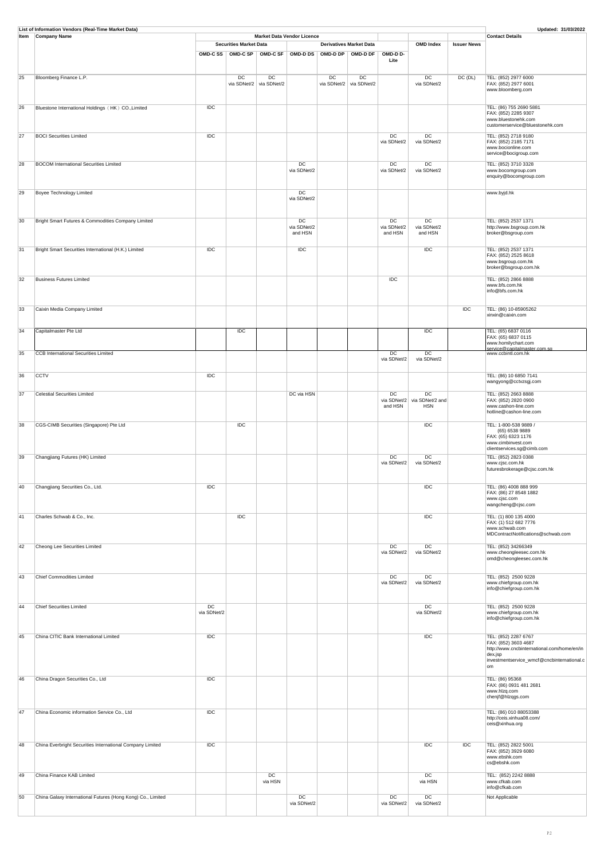| List of Information Vendors (Real-Time Market Data) |                                                             |                   |                               |                   |                                     |    |                                |                                     | Updated: 31/03/2022                        |                    |                                                                                                                                                             |
|-----------------------------------------------------|-------------------------------------------------------------|-------------------|-------------------------------|-------------------|-------------------------------------|----|--------------------------------|-------------------------------------|--------------------------------------------|--------------------|-------------------------------------------------------------------------------------------------------------------------------------------------------------|
| Item                                                | <b>Company Name</b>                                         |                   | <b>Securities Market Data</b> |                   | <b>Market Data Vendor Licence</b>   |    | <b>Derivatives Market Data</b> |                                     | <b>OMD Index</b>                           | <b>Issuer News</b> | <b>Contact Details</b>                                                                                                                                      |
|                                                     |                                                             |                   |                               |                   |                                     |    |                                |                                     |                                            |                    |                                                                                                                                                             |
|                                                     |                                                             |                   | OMD-CSS   OMD-CSP             |                   | OMD-C SF OMD-D DS OMD-D DP OMD-D DF |    |                                | OMD-D D-<br>Lite                    |                                            |                    |                                                                                                                                                             |
| 25                                                  | Bloomberg Finance L.P.                                      |                   | DC<br>via SDNet/2             | DC<br>via SDNet/2 |                                     | DC | DC<br>via SDNet/2 via SDNet/2  |                                     | DC<br>via SDNet/2                          | DC (DL)            | TEL: (852) 2977 6000<br>FAX: (852) 2977 6001<br>www.bloomberg.com                                                                                           |
| 26                                                  | Bluestone International Holdings (HK) CO., Limited          | IDC               |                               |                   |                                     |    |                                |                                     |                                            |                    | TEL: (86) 755 2690 5881<br>FAX: (852) 2285 9307<br>www.bluestonehk.com<br>customerservice@bluestonehk.com                                                   |
| 27                                                  | <b>BOCI Securities Limited</b>                              | <b>IDC</b>        |                               |                   |                                     |    |                                | DC<br>via SDNet/2                   | DC<br>via SDNet/2                          |                    | TEL: (852) 2718 9180<br>FAX: (852) 2185 7171<br>www.bocionline.com<br>service@bocigroup.com                                                                 |
| 28                                                  | <b>BOCOM</b> International Securities Limited               |                   |                               |                   | DC<br>via SDNet/2                   |    |                                | DC<br>via SDNet/2                   | DC<br>via SDNet/2                          |                    | TEL: (852) 3710 3328<br>www.bocomgroup.com<br>enquiry@bocomgroup.com                                                                                        |
| 29                                                  | <b>Boyee Technology Limited</b>                             |                   |                               |                   | DC<br>via SDNet/2                   |    |                                |                                     |                                            |                    | www.byjd.hk                                                                                                                                                 |
| 30                                                  | Bright Smart Futures & Commodities Company Limited          |                   |                               |                   | DC<br>via SDNet/2<br>and HSN        |    |                                | DC<br>via SDNet/2<br>and HSN        | DC<br>via SDNet/2<br>and HSN               |                    | TEL: (852) 2537 1371<br>http://www.bsgroup.com.hk<br>broker@bsgroup.com                                                                                     |
| 31                                                  | Bright Smart Securities International (H.K.) Limited        | IDC               |                               |                   | IDC                                 |    |                                |                                     | IDC                                        |                    | TEL: (852) 2537 1371<br>FAX: (852) 2525 8618<br>www.bsgroup.com.hk<br>broker@bsgroup.com.hk                                                                 |
| 32                                                  | <b>Business Futures Limited</b>                             |                   |                               |                   |                                     |    |                                | <b>IDC</b>                          |                                            |                    | TEL: (852) 2866 8888<br>www.bfs.com.hk<br>info@bfs.com.hk                                                                                                   |
| 33                                                  | Caixin Media Company Limited                                |                   |                               |                   |                                     |    |                                |                                     |                                            | <b>IDC</b>         | TEL: (86) 10-85905262<br>xinxin@caixin.com                                                                                                                  |
| 34                                                  | Capitalmaster Pte Ltd                                       |                   | <b>IDC</b>                    |                   |                                     |    |                                |                                     | <b>IDC</b>                                 |                    | TEL: (65) 6837 0116<br>FAX: (65) 6837 0115<br>www.homilychart.com                                                                                           |
| 35                                                  | <b>CCB International Securities Limited</b>                 |                   |                               |                   |                                     |    |                                | DC<br>via SDNet/2                   | <b>DC</b><br>via SDNet/2                   |                    | service@canitalmaster.com.so<br>www.ccbintl.com.hk                                                                                                          |
| 36                                                  | CCTV                                                        | IDC               |                               |                   |                                     |    |                                |                                     |                                            |                    | TEL: (86) 10 6850 7141<br>wangyong@cctvzsgj.com                                                                                                             |
| 37                                                  | <b>Celestial Securities Limited</b>                         |                   |                               |                   | DC via HSN                          |    |                                | <b>DC</b><br>via SDNet/2<br>and HSN | <b>DC</b><br>via SDNet/2 and<br><b>HSN</b> |                    | TEL: (852) 2663 8888<br>FAX: (852) 2820 0900<br>www.cashon-line.com<br>hotline@cashon-line.com                                                              |
| 38                                                  | CGS-CIMB Securities (Singapore) Pte Ltd                     |                   | <b>IDC</b>                    |                   |                                     |    |                                |                                     | <b>IDC</b>                                 |                    | TEL: 1-800-538 9889 /<br>(65) 6538 9889<br>FAX: (65) 6323 1176<br>www.cimbinvest.com<br>clientservices.sg@cimb.com                                          |
| 39                                                  | Changjiang Futures (HK) Limited                             |                   |                               |                   |                                     |    |                                | DC<br>via SDNet/2                   | DC<br>via SDNet/2                          |                    | TEL: (852) 2823 0388<br>www.cjsc.com.hk<br>futuresbrokerage@cjsc.com.hk                                                                                     |
| 40                                                  | Changjiang Securities Co., Ltd.                             | IDC               |                               |                   |                                     |    |                                |                                     | IDC                                        |                    | TEL: (86) 4008 888 999<br>FAX: (86) 27 8548 1882<br>www.cjsc.com<br>wangcheng@cjsc.com                                                                      |
| 41                                                  | Charles Schwab & Co., Inc.                                  |                   | <b>IDC</b>                    |                   |                                     |    |                                |                                     | IDC                                        |                    | TEL: (1) 800 135 4000<br>FAX: (1) 512 682 7776<br>www.schwab.com<br>MDContractNotifications@schwab.com                                                      |
| 42                                                  | Cheong Lee Securities Limited                               |                   |                               |                   |                                     |    |                                | DC<br>via SDNet/2                   | DC<br>via SDNet/2                          |                    | TEL: (852) 34266349<br>www.cheongleesec.com.hk<br>omd@cheongleesec.com.hk                                                                                   |
| 43                                                  | Chief Commodities Limited                                   |                   |                               |                   |                                     |    |                                | DC<br>via SDNet/2                   | DC<br>via SDNet/2                          |                    | TEL: (852) 2500 9228<br>www.chiefgroup.com.hk<br>info@chiefgroup.com.hk                                                                                     |
| 44                                                  | <b>Chief Securities Limited</b>                             | DC<br>via SDNet/2 |                               |                   |                                     |    |                                |                                     | DC<br>via SDNet/2                          |                    | TEL: (852) 2500 9228<br>www.chiefgroup.com.hk<br>info@chiefgroup.com.hk                                                                                     |
| 45                                                  | China CITIC Bank International Limited                      | IDC               |                               |                   |                                     |    |                                |                                     | <b>IDC</b>                                 |                    | TEL: (852) 2287 6767<br>FAX: (852) 3603 4687<br>http://www.cncbinternational.com/home/en/in<br>dex.jsp<br>investmentservice_wmcf@cncbinternational.c<br>lom |
| 46                                                  | China Dragon Securities Co., Ltd                            | IDC               |                               |                   |                                     |    |                                |                                     |                                            |                    | TEL: (86) 95368<br>FAX: (86) 0931 481 2681<br>www.hlzq.com<br>chenjf@hlzqgs.com                                                                             |
| 47                                                  | China Economic information Service Co., Ltd                 | IDC               |                               |                   |                                     |    |                                |                                     |                                            |                    | TEL: (86) 010 88053388<br>http://ceis.xinhua08.com/<br>ceis@xinhua.org                                                                                      |
| 48                                                  | China Everbright Securities International Company Limited   | <b>IDC</b>        |                               |                   |                                     |    |                                |                                     | <b>IDC</b>                                 | <b>IDC</b>         | TEL: (852) 2822 5001<br>FAX: (852) 3929 6080<br>www.ebshk.com<br>cs@ebshk.com                                                                               |
| 49                                                  | China Finance KAB Limited                                   |                   |                               | DC<br>via HSN     |                                     |    |                                |                                     | DC<br>via HSN                              |                    | TEL: (852) 2242 8888<br>www.cfkab.com<br>info@cfkab.com                                                                                                     |
| 50                                                  | China Galaxy International Futures (Hong Kong) Co., Limited |                   |                               |                   | DC<br>via SDNet/2                   |    |                                | DC<br>via SDNet/2                   | DC<br>via SDNet/2                          |                    | Not Applicable                                                                                                                                              |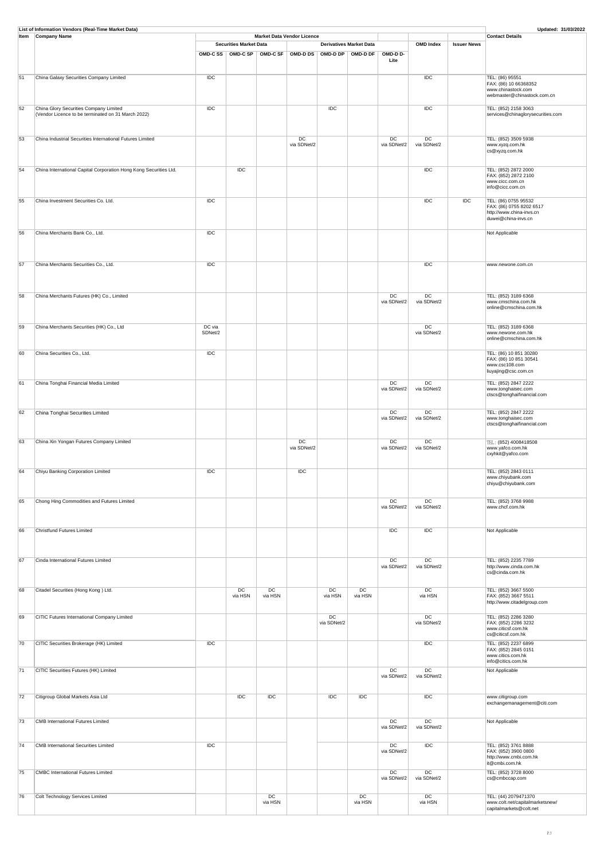|          | List of Information Vendors (Real-Time Market Data)                                          | <b>Market Data Vendor Licence</b> |                                                      |               |                   |                     |                                                       | Updated: 31/03/2022                |                            |                    |                                                                                                     |
|----------|----------------------------------------------------------------------------------------------|-----------------------------------|------------------------------------------------------|---------------|-------------------|---------------------|-------------------------------------------------------|------------------------------------|----------------------------|--------------------|-----------------------------------------------------------------------------------------------------|
|          | Item Company Name                                                                            |                                   |                                                      |               |                   |                     |                                                       |                                    |                            |                    | <b>Contact Details</b>                                                                              |
|          |                                                                                              |                                   | <b>Securities Market Data</b><br>OMD-C SS   OMD-C SP | OMD-C SF      | OMD-D DS          |                     | <b>Derivatives Market Data</b><br>OMD-D DP   OMD-D DF | OMD-D D-<br>Lite                   | <b>OMD Index</b>           | <b>Issuer News</b> |                                                                                                     |
| 51       | China Galaxy Securities Company Limited                                                      | IDC                               |                                                      |               |                   |                     |                                                       |                                    | <b>IDC</b>                 |                    | TEL: (86) 95551<br>FAX: (86) 10 66368352<br>www.chinastock.com<br>webmaster@chinastock.com.cn       |
| 52       | China Glory Securities Company Limited<br>(Vendor Licence to be terminated on 31 March 2022) | IDC                               |                                                      |               |                   | IDC                 |                                                       |                                    | <b>IDC</b>                 |                    | TEL: (852) 2158 3063<br>services@chinaglorysecurities.com                                           |
| 53       | China Industrial Securities International Futures Limited                                    |                                   |                                                      |               | DC<br>via SDNet/2 |                     |                                                       | DC<br>via SDNet/2                  | DC<br>via SDNet/2          |                    | TEL: (852) 3509 5938<br>www.xyzq.com.hk<br>cs@xyzq.com.hk                                           |
| 54       | China International Capital Corporation Hong Kong Securities Ltd.                            |                                   | IDC                                                  |               |                   |                     |                                                       |                                    | <b>IDC</b>                 |                    | TEL: (852) 2872 2000<br>FAX: (852) 2872 2100<br>www.cicc.com.cn<br>info@cicc.com.cn                 |
| 55       | China Investment Securities Co. Ltd.                                                         | <b>IDC</b>                        |                                                      |               |                   |                     |                                                       |                                    | <b>IDC</b>                 | IDC                | TEL: (86) 0755 95532<br>FAX: (86) 0755 8202 6517<br>http://www.china-invs.cn<br>duwei@china-invs.cn |
| 56       | China Merchants Bank Co., Ltd.                                                               | IDC                               |                                                      |               |                   |                     |                                                       |                                    |                            |                    | Not Applicable                                                                                      |
| 57       | China Merchants Securities Co., Ltd.                                                         | IDC                               |                                                      |               |                   |                     |                                                       |                                    | <b>IDC</b>                 |                    | www.newone.com.cn                                                                                   |
| 58       | China Merchants Futures (HK) Co., Limited                                                    |                                   |                                                      |               |                   |                     |                                                       | DC<br>via SDNet/2                  | DC<br>via SDNet/2          |                    | TEL: (852) 3189 6368<br>www.cmschina.com.hk<br>online@cmschina.com.hk                               |
| 59       | China Merchants Securities (HK) Co., Ltd                                                     | DC via<br>SDNet/2                 |                                                      |               |                   |                     |                                                       |                                    | DC<br>via SDNet/2          |                    | TEL: (852) 3189 6368<br>www.newone.com.hk<br>online@cmschina.com.hk                                 |
| 60       | China Securities Co., Ltd.                                                                   | IDC                               |                                                      |               |                   |                     |                                                       |                                    |                            |                    | TEL: (86) 10 851 30280<br>FAX: (86) 10 851 30541<br>www.csc108.com<br>liuyajing@csc.com.cn          |
| 61       | China Tonghai Financial Media Limited                                                        |                                   |                                                      |               |                   |                     |                                                       | DC<br>via SDNet/2                  | <b>DC</b><br>via SDNet/2   |                    | TEL: (852) 2847 2222<br>www.tonghaisec.com<br>ctscs@tonghaifinancial.com                            |
| 62       | China Tonghai Securities Limited                                                             |                                   |                                                      |               |                   |                     |                                                       | DC<br>via SDNet/2                  | DC<br>via SDNet/2          |                    | TEL: (852) 2847 2222<br>www.tonghaisec.com<br>ctscs@tonghaifinancial.com                            |
| 63       | China Xin Yongan Futures Company Limited                                                     |                                   |                                                      |               | DC<br>via SDNet/2 |                     |                                                       | DC<br>via SDNet/2                  | <b>DC</b><br>via SDNet/2   |                    | TEL: (852) 4008418508<br>www.yafco.com.hk<br>cxyhkit@yafco.com                                      |
| 64       | Chiyu Banking Corporation Limited                                                            | IDC                               |                                                      |               | IDC               |                     |                                                       |                                    |                            |                    | TEL: (852) 2843 0111<br>www.chiyubank.com<br>chiyu@chiyubank.com                                    |
| 65       | Chong Hing Commodities and Futures Limited                                                   |                                   |                                                      |               |                   |                     |                                                       | DC<br>via SDNet/2                  | DC<br>via SDNet/2          |                    | TEL: (852) 3768 9988<br>www.chcf.com.hk                                                             |
| 66       | <b>Christfund Futures Limited</b>                                                            |                                   |                                                      |               |                   |                     |                                                       | <b>IDC</b>                         | <b>IDC</b>                 |                    | Not Applicable                                                                                      |
| 67       | Cinda International Futures Limited                                                          |                                   |                                                      |               |                   |                     |                                                       | DC<br>via SDNet/2                  | DC<br>via SDNet/2          |                    | TEL: (852) 2235 7789<br>http://www.cinda.com.hk<br>cs@cinda.com.hk                                  |
| 68<br>69 | Citadel Securities (Hong Kong ) Ltd.<br>CITIC Futures International Company Limited          |                                   | DC<br>via HSN                                        | DC<br>via HSN |                   | DC<br>via HSN<br>DC | <b>DC</b><br>via HSN                                  |                                    | <b>DC</b><br>via HSN<br>DC |                    | TEL: (852) 3667 5500<br>FAX: (852) 3667 5511<br>http://www.citadelgroup.com<br>TEL: (852) 2286 3280 |
| 70       | CITIC Securities Brokerage (HK) Limited                                                      | IDC                               |                                                      |               |                   | via SDNet/2         |                                                       |                                    | via SDNet/2<br>IDC         |                    | FAX: (852) 2286 3232<br>www.citicsf.com.hk<br>cs@citicsf.com.hk<br>TEL: (852) 2237 6899             |
| 71       | CITIC Securities Futures (HK) Limited                                                        |                                   |                                                      |               |                   |                     |                                                       | DC                                 | DC                         |                    | FAX: (852) 2845 0151<br>www.citics.com.hk<br>info@citics.com.hk<br>Not Applicable                   |
| 72       | Citigroup Global Markets Asia Ltd                                                            |                                   | IDC                                                  | IDC           |                   | IDC                 | IDC                                                   | via SDNet/2                        | via SDNet/2<br><b>IDC</b>  |                    | www.citigroup.com                                                                                   |
| 73       | CMB International Futures Limited                                                            |                                   |                                                      |               |                   |                     |                                                       | DC                                 | DC                         |                    | exchangemanagement@citi.com<br>Not Applicable                                                       |
| 74       | <b>CMB</b> International Securities Limited                                                  | IDC                               |                                                      |               |                   |                     |                                                       | via SDNet/2<br>$DC$<br>via SDNet/2 | via SDNet/2<br><b>IDC</b>  |                    | TEL: (852) 3761 8888<br>FAX: (852) 3900 0800                                                        |
| 75       | <b>CMBC</b> International Futures Limited                                                    |                                   |                                                      |               |                   |                     |                                                       | DC<br>via SDNet/2                  | DC<br>via SDNet/2          |                    | http://www.cmbi.com.hk<br>it@cmbi.com.hk<br>TEL: (852) 3728 8000<br>cs@cmbccap.com                  |
| 76       | Colt Technology Services Limited                                                             |                                   |                                                      | DC<br>via HSN |                   |                     | DC<br>via HSN                                         |                                    | <b>DC</b><br>via HSN       |                    | TEL: (44) 2079471370<br>www.colt.net/capitalmarketsnew/<br>capitalmarkets@colt.net                  |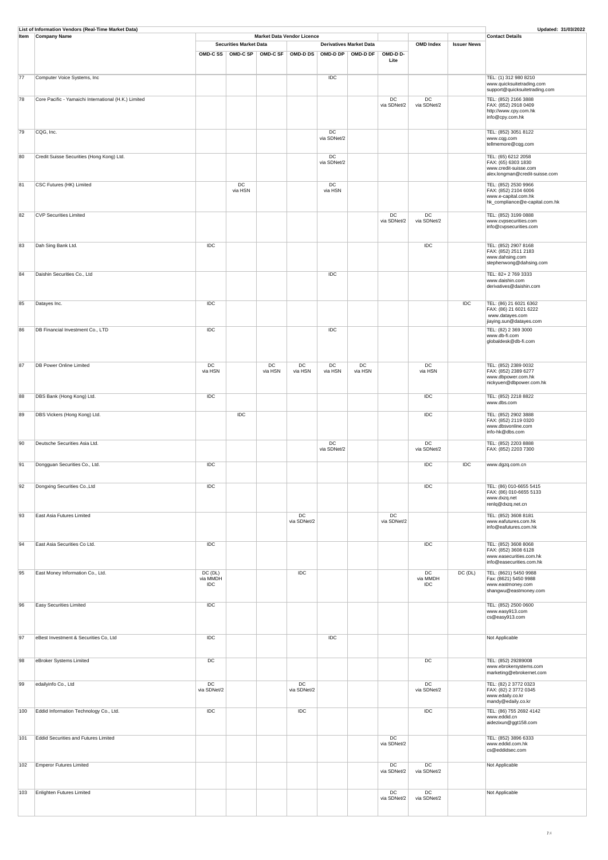| List of Information Vendors (Real-Time Market Data) |                                                      |                                                                                                      |                   |               |                   |                   |                   |                    |                                     |             | Updated: 31/03/2022                                                                                    |
|-----------------------------------------------------|------------------------------------------------------|------------------------------------------------------------------------------------------------------|-------------------|---------------|-------------------|-------------------|-------------------|--------------------|-------------------------------------|-------------|--------------------------------------------------------------------------------------------------------|
|                                                     | Item Company Name                                    | <b>Market Data Vendor Licence</b><br><b>Securities Market Data</b><br><b>Derivatives Market Data</b> |                   |               |                   |                   | <b>OMD Index</b>  | <b>Issuer News</b> | <b>Contact Details</b>              |             |                                                                                                        |
|                                                     |                                                      |                                                                                                      | OMD-CSS   OMD-CSP | OMD-C SF      | OMD-D DS          |                   | OMD-D DP OMD-D DF | OMD-D D-           |                                     |             |                                                                                                        |
|                                                     |                                                      |                                                                                                      |                   |               |                   |                   |                   | Lite               |                                     |             |                                                                                                        |
| 77                                                  | Computer Voice Systems, Inc.                         |                                                                                                      |                   |               |                   | <b>IDC</b>        |                   |                    |                                     |             | TEL: (1) 312 980 8210<br>www.quicksuitetrading.com<br>support@quicksuitetrading.com                    |
| 78                                                  | Core Pacific - Yamaichi International (H.K.) Limited |                                                                                                      |                   |               |                   |                   |                   | DC<br>via SDNet/2  | DC<br>via SDNet/2                   |             | TEL: (852) 2166 3888<br>FAX: (852) 2918 0409<br>http://www.cpy.com.hk<br>info@cpy.com.hk               |
| 79                                                  | CQG, Inc.                                            |                                                                                                      |                   |               |                   | DC<br>via SDNet/2 |                   |                    |                                     |             | TEL: (852) 3051 8122<br>www.cqg.com<br>tellmemore@cqg.com                                              |
| 80                                                  | Credit Suisse Securities (Hong Kong) Ltd.            |                                                                                                      |                   |               |                   | DC<br>via SDNet/2 |                   |                    |                                     |             | TEL: (65) 6212 2058<br>FAX: (65) 6303 1830<br>www.credit-suisse.com<br>alex.longman@credit-suisse.com  |
| 81                                                  | CSC Futures (HK) Limited                             |                                                                                                      | DC<br>via HSN     |               |                   | DC<br>via HSN     |                   |                    |                                     |             | TEL: (852) 2530 9966<br>FAX: (852) 2104 6006<br>www.e-capital.com.hk<br>hk_compliance@e-capital.com.hk |
| 82                                                  | <b>CVP Securities Limited</b>                        |                                                                                                      |                   |               |                   |                   |                   | DC<br>via SDNet/2  | DC<br>via SDNet/2                   |             | TEL: (852) 3199 0888<br>www.cvpsecurities.com<br>info@cvpsecurities.com                                |
| 83                                                  | Dah Sing Bank Ltd.                                   | <b>IDC</b>                                                                                           |                   |               |                   |                   |                   |                    | <b>IDC</b>                          |             | TEL: (852) 2907 8168<br>FAX: (852) 2511 2183<br>www.dahsing.com<br>stephenwong@dahsing.com             |
| 84                                                  | Daishin Securities Co., Ltd                          |                                                                                                      |                   |               |                   | <b>IDC</b>        |                   |                    |                                     |             | TEL: 82+ 2 769 3333<br>www.daishin.com<br>derivatives@daishin.com                                      |
| 85                                                  | Datayes Inc.                                         | <b>IDC</b>                                                                                           |                   |               |                   |                   |                   |                    |                                     | <b>IDC</b>  | TEL: (86) 21 6021 6362<br>FAX: (86) 21 6021 6222<br>www.datayes.com<br>jiaying.sun@datayes.com         |
| 86                                                  | DB Financial Investment Co., LTD                     | <b>IDC</b>                                                                                           |                   |               |                   | IDC               |                   |                    |                                     |             | TEL: (82) 2 369 3000<br>www.db-fi.com<br>globaldesk@db-fi.com                                          |
| 87                                                  | DB Power Online Limited                              | DC<br>via HSN                                                                                        |                   | DC<br>via HSN | DC<br>via HSN     | DC<br>via HSN     | DC<br>via HSN     |                    | DC<br>via HSN                       |             | TEL: (852) 2389 0032<br>FAX: (852) 2389 6277<br>www.dbpower.com.hk<br>nickyuen@dbpower.com.hk          |
| 88                                                  | DBS Bank (Hong Kong) Ltd.                            | <b>IDC</b>                                                                                           |                   |               |                   |                   |                   |                    | <b>IDC</b>                          |             | TEL: (852) 2218 8822<br>www.dbs.com                                                                    |
| 89                                                  | DBS Vickers (Hong Kong) Ltd.                         |                                                                                                      | <b>IDC</b>        |               |                   |                   |                   |                    | <b>IDC</b>                          |             | TEL: (852) 2902 3888<br>FAX: (852) 2119 0320<br>www.dbsvonline.com<br>info-hk@dbs.com                  |
| 90                                                  | Deutsche Securities Asia Ltd.                        |                                                                                                      |                   |               |                   | DC<br>via SDNet/2 |                   |                    | DC<br>via SDNet/2                   |             | TEL: (852) 2203 8888<br>FAX: (852) 2203 7300                                                           |
| 91                                                  | Dongguan Securities Co., Ltd.                        | IDC                                                                                                  |                   |               |                   |                   |                   |                    | IDC                                 | <b>IDC</b>  | www.dgzq.com.cn                                                                                        |
| 92                                                  | Dongxing Securities Co., Ltd                         | IDC                                                                                                  |                   |               |                   |                   |                   |                    | IDC                                 |             | TEL: (86) 010-6655 5415<br>FAX: (86) 010-6655 5133<br>www.dxzq.net<br>reniq@dxzq.net.cn                |
| 93                                                  | East Asia Futures Limited                            |                                                                                                      |                   |               | DC<br>via SDNet/2 |                   |                   | DC<br>via SDNet/2  |                                     |             | TEL: (852) 3608 8181<br>www.eafutures.com.hk<br>info@eafutures.com.hk                                  |
| 94                                                  | East Asia Securities Co Ltd.                         | <b>IDC</b>                                                                                           |                   |               |                   |                   |                   |                    | <b>IDC</b>                          |             | TEL: (852) 3608 8068<br>FAX: (852) 3608 6128<br>www.easecurities.com.hk<br>info@easecurities.com.hk    |
| 95                                                  | East Money Information Co., Ltd.                     | DC (DL)<br>via MMDH<br><b>IDC</b>                                                                    |                   |               | <b>IDC</b>        |                   |                   |                    | <b>DC</b><br>via MMDH<br><b>IDC</b> | $DC$ $(DL)$ | TEL: (8621) 5450 9988<br>Fax: (8621) 5450 9988<br>www.eastmoney.com<br>shangwu@eastmoney.com           |
| 96                                                  | Easy Securities Limited                              | <b>IDC</b>                                                                                           |                   |               |                   |                   |                   |                    |                                     |             | TEL: (852) 2500 0600<br>www.easy913.com<br>cs@easy913.com                                              |
| 97                                                  | eBest Investment & Securities Co, Ltd                | <b>IDC</b>                                                                                           |                   |               |                   | <b>IDC</b>        |                   |                    |                                     |             | Not Applicable                                                                                         |
| 98                                                  | eBroker Systems Limited                              | DC                                                                                                   |                   |               |                   |                   |                   |                    | DC                                  |             | TEL: (852) 29289008<br>www.ebrokersystems.com<br>marketing@ebrokernet.com                              |
| 99                                                  | edailyinfo Co., Ltd                                  | DC<br>via SDNet/2                                                                                    |                   |               | DC<br>via SDNet/2 |                   |                   |                    | DC<br>via SDNet/2                   |             | TEL: (82) 2 3772 0323<br>FAX: (82) 2 3772 0345<br>www.edaily.co.kr<br>mandy@edaily.co.kr               |
| 100                                                 | Eddid Information Technology Co., Ltd.               | <b>IDC</b>                                                                                           |                   |               | <b>IDC</b>        |                   |                   |                    | <b>IDC</b>                          |             | TEL: (86) 755 2692 4142<br>www.eddid.cn<br>aidezixun@ggt158.com                                        |
| 101                                                 | Eddid Securities and Futures Limited                 |                                                                                                      |                   |               |                   |                   |                   | DC<br>via SDNet/2  |                                     |             | TEL: (852) 3896 6333<br>www.eddid.com.hk<br>cs@eddidsec.com                                            |
| 102                                                 | <b>Emperor Futures Limited</b>                       |                                                                                                      |                   |               |                   |                   |                   | DC<br>via SDNet/2  | DC<br>via SDNet/2                   |             | Not Applicable                                                                                         |
| 103                                                 | Enlighten Futures Limited                            |                                                                                                      |                   |               |                   |                   |                   | DC<br>via SDNet/2  | <b>DC</b><br>via SDNet/2            |             | Not Applicable                                                                                         |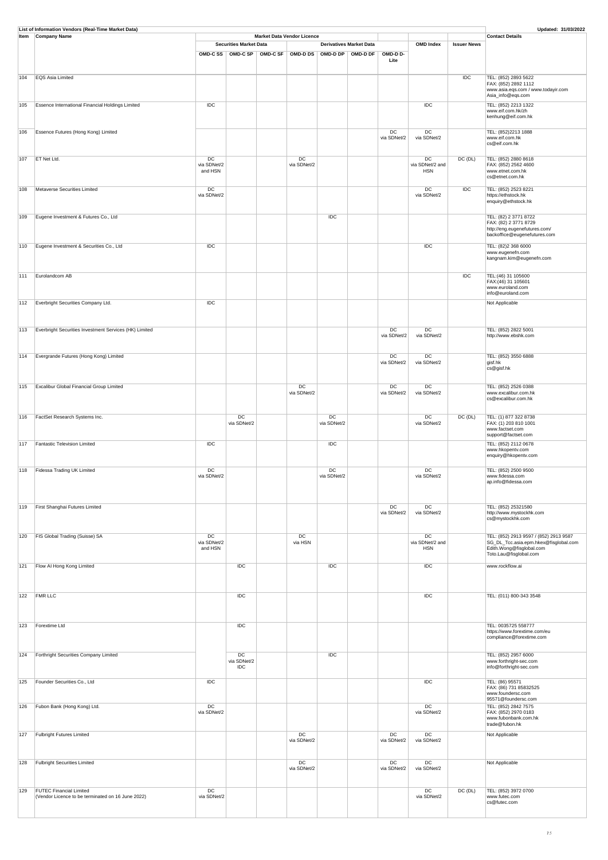|     | List of Information Vendors (Real-Time Market Data)                                 |                                                                                                                          |                   |          |                   |                   |                     |                   |                               | Updated: 31/03/2022 |                                                                   |
|-----|-------------------------------------------------------------------------------------|--------------------------------------------------------------------------------------------------------------------------|-------------------|----------|-------------------|-------------------|---------------------|-------------------|-------------------------------|---------------------|-------------------------------------------------------------------|
|     | Item Company Name                                                                   | <b>Market Data Vendor Licence</b><br><b>OMD Index</b><br><b>Securities Market Data</b><br><b>Derivatives Market Data</b> |                   |          |                   |                   |                     |                   | <b>Contact Details</b>        |                     |                                                                   |
|     |                                                                                     |                                                                                                                          |                   |          |                   |                   |                     |                   |                               | <b>Issuer News</b>  |                                                                   |
|     |                                                                                     |                                                                                                                          | OMD-CSS   OMD-CSP | OMD-C SF | OMD-D DS          |                   | OMD-D DP   OMD-D DF | OMD-D D-          |                               |                     |                                                                   |
|     |                                                                                     |                                                                                                                          |                   |          |                   |                   |                     | Lite              |                               |                     |                                                                   |
|     |                                                                                     |                                                                                                                          |                   |          |                   |                   |                     |                   |                               |                     |                                                                   |
| 104 | <b>EQS Asia Limited</b>                                                             |                                                                                                                          |                   |          |                   |                   |                     |                   |                               | <b>IDC</b>          | TEL: (852) 2893 5622<br>FAX: (852) 2892 1112                      |
|     |                                                                                     |                                                                                                                          |                   |          |                   |                   |                     |                   |                               |                     | www.asia.eqs.com / www.todayir.com                                |
|     |                                                                                     |                                                                                                                          |                   |          |                   |                   |                     |                   |                               |                     | Asia_info@eqs.com                                                 |
| 105 | Essence International Financial Holdings Limited                                    | <b>IDC</b>                                                                                                               |                   |          |                   |                   |                     |                   | <b>IDC</b>                    |                     | TEL: (852) 2213 1322                                              |
|     |                                                                                     |                                                                                                                          |                   |          |                   |                   |                     |                   |                               |                     | www.eif.com.hk/zh<br>kenhung@eif.com.hk                           |
|     |                                                                                     |                                                                                                                          |                   |          |                   |                   |                     |                   |                               |                     |                                                                   |
| 106 | Essence Futures (Hong Kong) Limited                                                 |                                                                                                                          |                   |          |                   |                   |                     | DC                | DC                            |                     | TEL: (852)2213 1888                                               |
|     |                                                                                     |                                                                                                                          |                   |          |                   |                   |                     | via SDNet/2       | via SDNet/2                   |                     | www.eif.com.hk                                                    |
|     |                                                                                     |                                                                                                                          |                   |          |                   |                   |                     |                   |                               |                     | cs@eif.com.hk                                                     |
|     |                                                                                     |                                                                                                                          |                   |          |                   |                   |                     |                   |                               |                     |                                                                   |
| 107 | ET Net Ltd.                                                                         | DC<br>via SDNet/2                                                                                                        |                   |          | DC<br>via SDNet/2 |                   |                     |                   | DC<br>via SDNet/2 and         | $DC$ $(DL)$         | TEL: (852) 2880 8618<br>FAX: (852) 2562 4600                      |
|     |                                                                                     | and HSN                                                                                                                  |                   |          |                   |                   |                     |                   | <b>HSN</b>                    |                     | www.etnet.com.hk                                                  |
|     |                                                                                     |                                                                                                                          |                   |          |                   |                   |                     |                   |                               |                     | cs@etnet.com.hk                                                   |
|     |                                                                                     |                                                                                                                          |                   |          |                   |                   |                     |                   |                               |                     |                                                                   |
| 108 | Metaverse Securities Limited                                                        | <b>DC</b><br>via SDNet/2                                                                                                 |                   |          |                   |                   |                     |                   | DC<br>via SDNet/2             | <b>IDC</b>          | TEL: (852) 2523 8221<br>https://ethstock.hk                       |
|     |                                                                                     |                                                                                                                          |                   |          |                   |                   |                     |                   |                               |                     | enquiry@ethstock.hk                                               |
|     |                                                                                     |                                                                                                                          |                   |          |                   |                   |                     |                   |                               |                     |                                                                   |
| 109 | Eugene Investment & Futures Co., Ltd                                                |                                                                                                                          |                   |          |                   | <b>IDC</b>        |                     |                   |                               |                     | TEL: (82) 2 3771 8722                                             |
|     |                                                                                     |                                                                                                                          |                   |          |                   |                   |                     |                   |                               |                     | FAX: (82) 2 3771 8729                                             |
|     |                                                                                     |                                                                                                                          |                   |          |                   |                   |                     |                   |                               |                     | http://eng.eugenefutures.com/<br>backoffice@eugenefutures.com     |
|     |                                                                                     |                                                                                                                          |                   |          |                   |                   |                     |                   |                               |                     |                                                                   |
| 110 | Eugene Investment & Securities Co., Ltd                                             | <b>IDC</b>                                                                                                               |                   |          |                   |                   |                     |                   | <b>IDC</b>                    |                     | TEL: (82)2 368 6000                                               |
|     |                                                                                     |                                                                                                                          |                   |          |                   |                   |                     |                   |                               |                     | www.eugenefn.com<br>kangnam.kim@eugenefn.com                      |
|     |                                                                                     |                                                                                                                          |                   |          |                   |                   |                     |                   |                               |                     |                                                                   |
|     |                                                                                     |                                                                                                                          |                   |          |                   |                   |                     |                   |                               |                     |                                                                   |
| 111 | Eurolandcom AB                                                                      |                                                                                                                          |                   |          |                   |                   |                     |                   |                               | <b>IDC</b>          | TEL:(46) 31 105600<br>FAX:(46) 31 105601                          |
|     |                                                                                     |                                                                                                                          |                   |          |                   |                   |                     |                   |                               |                     | www.euroland.com                                                  |
|     |                                                                                     |                                                                                                                          |                   |          |                   |                   |                     |                   |                               |                     | info@euroland.com                                                 |
| 112 | Everbright Securities Company Ltd.                                                  | <b>IDC</b>                                                                                                               |                   |          |                   |                   |                     |                   |                               |                     | Not Applicable                                                    |
|     |                                                                                     |                                                                                                                          |                   |          |                   |                   |                     |                   |                               |                     |                                                                   |
|     |                                                                                     |                                                                                                                          |                   |          |                   |                   |                     |                   |                               |                     |                                                                   |
| 113 | Everbright Securities Investment Services (HK) Limited                              |                                                                                                                          |                   |          |                   |                   |                     | DC                | DC                            |                     | TEL: (852) 2822 5001                                              |
|     |                                                                                     |                                                                                                                          |                   |          |                   |                   |                     | via SDNet/2       | via SDNet/2                   |                     | http://www.ebshk.com                                              |
|     |                                                                                     |                                                                                                                          |                   |          |                   |                   |                     |                   |                               |                     |                                                                   |
|     |                                                                                     |                                                                                                                          |                   |          |                   |                   |                     |                   |                               |                     |                                                                   |
| 114 | Evergrande Futures (Hong Kong) Limited                                              |                                                                                                                          |                   |          |                   |                   |                     | DC                | DC                            |                     | TEL: (852) 3550 6888                                              |
|     |                                                                                     |                                                                                                                          |                   |          |                   |                   |                     | via SDNet/2       | via SDNet/2                   |                     | gisf.hk<br>cs@gisf.hk                                             |
|     |                                                                                     |                                                                                                                          |                   |          |                   |                   |                     |                   |                               |                     |                                                                   |
|     |                                                                                     |                                                                                                                          |                   |          |                   |                   |                     |                   |                               |                     |                                                                   |
| 115 | Excalibur Global Financial Group Limited                                            |                                                                                                                          |                   |          | DC                |                   |                     | DC                | DC                            |                     | TEL: (852) 2526 0388                                              |
|     |                                                                                     |                                                                                                                          |                   |          | via SDNet/2       |                   |                     | via SDNet/2       | via SDNet/2                   |                     | www.excalibur.com.hk<br>cs@excalibur.com.hk                       |
|     |                                                                                     |                                                                                                                          |                   |          |                   |                   |                     |                   |                               |                     |                                                                   |
|     |                                                                                     |                                                                                                                          |                   |          |                   |                   |                     |                   |                               |                     |                                                                   |
| 116 | FactSet Research Systems Inc.                                                       |                                                                                                                          | DC<br>via SDNet/2 |          |                   | DC<br>via SDNet/2 |                     |                   | DC<br>via SDNet/2             | $DC$ ( $DL$ )       | TEL: (1) 877 322 8738<br>FAX: (1) 203 810 1001                    |
|     |                                                                                     |                                                                                                                          |                   |          |                   |                   |                     |                   |                               |                     | www.factset.com                                                   |
|     |                                                                                     |                                                                                                                          |                   |          |                   |                   |                     |                   |                               |                     | support@factset.com                                               |
| 117 | Fantastic Television Limited                                                        | <b>IDC</b>                                                                                                               |                   |          |                   | <b>IDC</b>        |                     |                   |                               |                     | TEL: (852) 2112 0678                                              |
|     |                                                                                     |                                                                                                                          |                   |          |                   |                   |                     |                   |                               |                     | www.hkopentv.com                                                  |
|     |                                                                                     |                                                                                                                          |                   |          |                   |                   |                     |                   |                               |                     | enquiry@hkopentv.com                                              |
| 118 | Fidessa Trading UK Limited                                                          | DC                                                                                                                       |                   |          |                   | DC                |                     |                   | DC                            |                     | TEL: (852) 2500 9500                                              |
|     |                                                                                     | via SDNet/2                                                                                                              |                   |          |                   | via SDNet/2       |                     |                   | via SDNet/2                   |                     | www.fidessa.com                                                   |
|     |                                                                                     |                                                                                                                          |                   |          |                   |                   |                     |                   |                               |                     | ap.info@fidessa.com                                               |
|     |                                                                                     |                                                                                                                          |                   |          |                   |                   |                     |                   |                               |                     |                                                                   |
|     |                                                                                     |                                                                                                                          |                   |          |                   |                   |                     |                   |                               |                     |                                                                   |
| 119 | First Shanghai Futures Limited                                                      |                                                                                                                          |                   |          |                   |                   |                     | $DC$              | DC                            |                     | TEL: (852) 25321580                                               |
|     |                                                                                     |                                                                                                                          |                   |          |                   |                   |                     | via SDNet/2       | via SDNet/2                   |                     | http://www.mystockhk.com<br>cs@mystockhk.com                      |
|     |                                                                                     |                                                                                                                          |                   |          |                   |                   |                     |                   |                               |                     |                                                                   |
|     |                                                                                     |                                                                                                                          |                   |          |                   |                   |                     |                   |                               |                     |                                                                   |
| 120 | FIS Global Trading (Suisse) SA                                                      | DC                                                                                                                       |                   |          | DC                |                   |                     |                   | DC                            |                     | TEL: (852) 2913 9597 / (852) 2913 9587                            |
|     |                                                                                     | via SDNet/2<br>and HSN                                                                                                   |                   |          | via HSN           |                   |                     |                   | via SDNet/2 and<br><b>HSN</b> |                     | SG_DL_Tcc.asia.epm.hkex@fisglobal.com<br>Edith.Wong@fisglobal.com |
|     |                                                                                     |                                                                                                                          |                   |          |                   |                   |                     |                   |                               |                     | Toto.Lau@fisglobal.com                                            |
|     |                                                                                     |                                                                                                                          | <b>IDC</b>        |          |                   | <b>IDC</b>        |                     |                   | <b>IDC</b>                    |                     |                                                                   |
| 121 | Flow Al Hong Kong Limited                                                           |                                                                                                                          |                   |          |                   |                   |                     |                   |                               |                     | www.rockflow.ai                                                   |
|     |                                                                                     |                                                                                                                          |                   |          |                   |                   |                     |                   |                               |                     |                                                                   |
|     |                                                                                     |                                                                                                                          |                   |          |                   |                   |                     |                   |                               |                     |                                                                   |
| 122 | <b>FMR LLC</b>                                                                      |                                                                                                                          | IDC               |          |                   |                   |                     |                   | <b>IDC</b>                    |                     | TEL: (011) 800-343 3548                                           |
|     |                                                                                     |                                                                                                                          |                   |          |                   |                   |                     |                   |                               |                     |                                                                   |
|     |                                                                                     |                                                                                                                          |                   |          |                   |                   |                     |                   |                               |                     |                                                                   |
|     |                                                                                     |                                                                                                                          |                   |          |                   |                   |                     |                   |                               |                     |                                                                   |
| 123 | Forextime Ltd                                                                       |                                                                                                                          | <b>IDC</b>        |          |                   |                   |                     |                   |                               |                     | TEL: 0035725 558777                                               |
|     |                                                                                     |                                                                                                                          |                   |          |                   |                   |                     |                   |                               |                     | https://www.forextime.com/eu<br>compliance@forextime.com          |
|     |                                                                                     |                                                                                                                          |                   |          |                   |                   |                     |                   |                               |                     |                                                                   |
|     |                                                                                     |                                                                                                                          |                   |          |                   |                   |                     |                   |                               |                     |                                                                   |
| 124 | Forthright Securities Company Limited                                               |                                                                                                                          | DC<br>via SDNet/2 |          |                   | <b>IDC</b>        |                     |                   |                               |                     | TEL: (852) 2957 6000<br>www.forthright-sec.com                    |
|     |                                                                                     |                                                                                                                          | IDC               |          |                   |                   |                     |                   |                               |                     | info@forthright-sec.com                                           |
|     |                                                                                     |                                                                                                                          |                   |          |                   |                   |                     |                   |                               |                     |                                                                   |
| 125 | Founder Securities Co., Ltd                                                         | IDC                                                                                                                      |                   |          |                   |                   |                     |                   | <b>IDC</b>                    |                     | TEL: (86) 95571                                                   |
|     |                                                                                     |                                                                                                                          |                   |          |                   |                   |                     |                   |                               |                     | FAX: (86) 731 85832525<br>www.foundersc.com                       |
|     |                                                                                     |                                                                                                                          |                   |          |                   |                   |                     |                   |                               |                     | 95571@foundersc.com                                               |
| 126 | Fubon Bank (Hong Kong) Ltd.                                                         | DC                                                                                                                       |                   |          |                   |                   |                     |                   | DC                            |                     | TEL: (852) 2842 7575                                              |
|     |                                                                                     | via SDNet/2                                                                                                              |                   |          |                   |                   |                     |                   | via SDNet/2                   |                     | FAX: (852) 2970 0183<br>www.fubonbank.com.hk                      |
|     |                                                                                     |                                                                                                                          |                   |          |                   |                   |                     |                   |                               |                     | trade@fubon.hk                                                    |
|     |                                                                                     |                                                                                                                          |                   |          |                   |                   |                     |                   |                               |                     |                                                                   |
| 127 | Fulbright Futures Limited                                                           |                                                                                                                          |                   |          | DC<br>via SDNet/2 |                   |                     | DC<br>via SDNet/2 | DC<br>via SDNet/2             |                     | Not Applicable                                                    |
|     |                                                                                     |                                                                                                                          |                   |          |                   |                   |                     |                   |                               |                     |                                                                   |
|     |                                                                                     |                                                                                                                          |                   |          |                   |                   |                     |                   |                               |                     |                                                                   |
| 128 | <b>Fulbright Securities Limited</b>                                                 |                                                                                                                          |                   |          | DC                |                   |                     | DC                | DC                            |                     | Not Applicable                                                    |
|     |                                                                                     |                                                                                                                          |                   |          | via SDNet/2       |                   |                     | via SDNet/2       | via SDNet/2                   |                     |                                                                   |
|     |                                                                                     |                                                                                                                          |                   |          |                   |                   |                     |                   |                               |                     |                                                                   |
|     |                                                                                     |                                                                                                                          |                   |          |                   |                   |                     |                   |                               |                     |                                                                   |
| 129 | <b>FUTEC Financial Limited</b><br>(Vendor Licence to be terminated on 16 June 2022) | DC<br>via SDNet/2                                                                                                        |                   |          |                   |                   |                     |                   | DC<br>via SDNet/2             | $DC$ ( $DL$ )       | TEL: (852) 3972 0700<br>www.futec.com                             |
|     |                                                                                     |                                                                                                                          |                   |          |                   |                   |                     |                   |                               |                     | cs@futec.com                                                      |
|     |                                                                                     |                                                                                                                          |                   |          |                   |                   |                     |                   |                               |                     |                                                                   |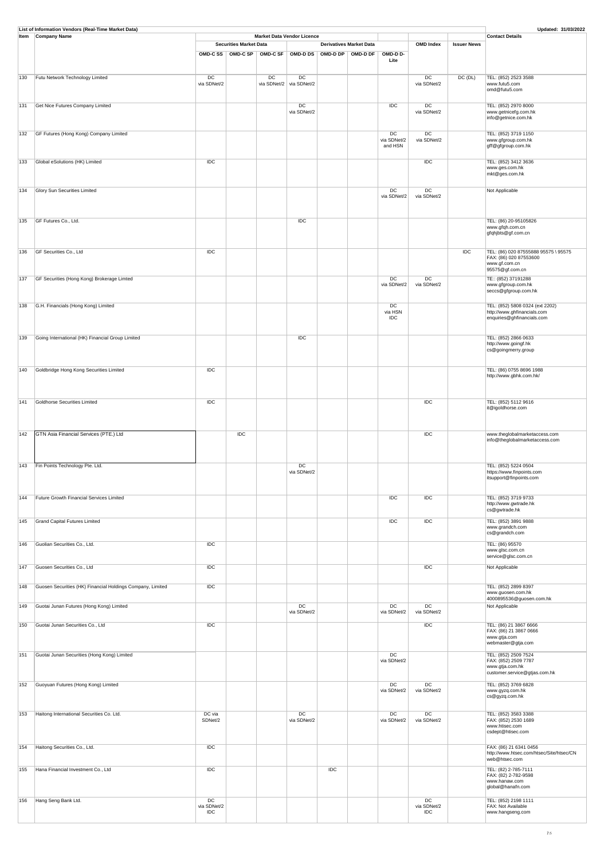|      | List of Information Vendors (Real-Time Market Data)        |                   |                               |                                   |                         |                                           |                                |                   |                   |                    | Updated: 31/03/2022                                                |
|------|------------------------------------------------------------|-------------------|-------------------------------|-----------------------------------|-------------------------|-------------------------------------------|--------------------------------|-------------------|-------------------|--------------------|--------------------------------------------------------------------|
| Item | <b>Company Name</b>                                        |                   |                               | <b>Market Data Vendor Licence</b> |                         |                                           |                                |                   |                   |                    | <b>Contact Details</b>                                             |
|      |                                                            |                   | <b>Securities Market Data</b> |                                   |                         |                                           | <b>Derivatives Market Data</b> |                   | <b>OMD Index</b>  | <b>Issuer News</b> |                                                                    |
|      |                                                            | OMD-CSS   OMD-CSP |                               |                                   |                         | OMD-C SF   OMD-D DS   OMD-D DP   OMD-D DF |                                | OMD-D D-<br>Lite  |                   |                    |                                                                    |
|      |                                                            |                   |                               |                                   |                         |                                           |                                |                   |                   |                    |                                                                    |
| 130  | Futu Network Technology Limited                            | DC                |                               | DC                                | DC                      |                                           |                                |                   | DC                | $DC$ $(DL)$        | TEL: (852) 2523 3588                                               |
|      |                                                            | via SDNet/2       |                               |                                   | via SDNet/2 via SDNet/2 |                                           |                                |                   | via SDNet/2       |                    | www.futu5.com<br>omd@futu5.com                                     |
|      |                                                            |                   |                               |                                   |                         |                                           |                                |                   |                   |                    |                                                                    |
| 131  | Get Nice Futures Company Limited                           |                   |                               |                                   | DC                      |                                           |                                | <b>IDC</b>        | DC                |                    | TEL: (852) 2970 8000                                               |
|      |                                                            |                   |                               |                                   | via SDNet/2             |                                           |                                |                   | via SDNet/2       |                    | www.getnicefg.com.hk                                               |
|      |                                                            |                   |                               |                                   |                         |                                           |                                |                   |                   |                    | info@getnice.com.hk                                                |
| 132  | GF Futures (Hong Kong) Company Limited                     |                   |                               |                                   |                         |                                           |                                | DC                | <b>DC</b>         |                    | TEL: (852) 3719 1150                                               |
|      |                                                            |                   |                               |                                   |                         |                                           |                                | via SDNet/2       | via SDNet/2       |                    | www.gfgroup.com.hk                                                 |
|      |                                                            |                   |                               |                                   |                         |                                           |                                | and HSN           |                   |                    | gff@gfgroup.com.hk                                                 |
|      | Global eSolutions (HK) Limited                             |                   |                               |                                   |                         |                                           |                                |                   |                   |                    | TEL: (852) 3412 3636                                               |
| 133  |                                                            | IDC               |                               |                                   |                         |                                           |                                |                   | <b>IDC</b>        |                    | www.ges.com.hk                                                     |
|      |                                                            |                   |                               |                                   |                         |                                           |                                |                   |                   |                    | mkt@ges.com.hk                                                     |
|      |                                                            |                   |                               |                                   |                         |                                           |                                |                   |                   |                    |                                                                    |
| 134  | Glory Sun Securities Limited                               |                   |                               |                                   |                         |                                           |                                | DC<br>via SDNet/2 | DC<br>via SDNet/2 |                    | Not Applicable                                                     |
|      |                                                            |                   |                               |                                   |                         |                                           |                                |                   |                   |                    |                                                                    |
|      |                                                            |                   |                               |                                   |                         |                                           |                                |                   |                   |                    |                                                                    |
| 135  | GF Futures Co., Ltd.                                       |                   |                               |                                   | <b>IDC</b>              |                                           |                                |                   |                   |                    | TEL: (86) 20-95105826                                              |
|      |                                                            |                   |                               |                                   |                         |                                           |                                |                   |                   |                    | www.gfqh.com.cn<br>gfqhjbts@gf.com.cn                              |
|      |                                                            |                   |                               |                                   |                         |                                           |                                |                   |                   |                    |                                                                    |
|      | GF Securities Co., Ltd                                     | <b>IDC</b>        |                               |                                   |                         |                                           |                                |                   |                   | <b>IDC</b>         | TEL: (86) 020 87555888 95575 \ 95575                               |
| 136  |                                                            |                   |                               |                                   |                         |                                           |                                |                   |                   |                    | FAX: (86) 020 87553600                                             |
|      |                                                            |                   |                               |                                   |                         |                                           |                                |                   |                   |                    | www.gf.com.cn                                                      |
|      |                                                            |                   |                               |                                   |                         |                                           |                                |                   |                   |                    | 95575@gf.com.cn                                                    |
| 137  | GF Securities (Hong Kong) Brokerage Limted                 |                   |                               |                                   |                         |                                           |                                | DC<br>via SDNet/2 | DC<br>via SDNet/2 |                    | TE:: (852) 37191288<br>www.gfgroup.com.hk                          |
|      |                                                            |                   |                               |                                   |                         |                                           |                                |                   |                   |                    | seccs@gfgroup.com.hk                                               |
|      |                                                            |                   |                               |                                   |                         |                                           |                                |                   |                   |                    |                                                                    |
| 138  | G.H. Financials (Hong Kong) Limited                        |                   |                               |                                   |                         |                                           |                                | DC<br>via HSN     |                   |                    | TEL: (852) 5808 0324 (ext 2202)<br>http://www.ghfinancials.com     |
|      |                                                            |                   |                               |                                   |                         |                                           |                                | IDC               |                   |                    | enquiries@ghfinancials.com                                         |
|      |                                                            |                   |                               |                                   |                         |                                           |                                |                   |                   |                    |                                                                    |
| 139  | Going International (HK) Financial Group Limited           |                   |                               |                                   | <b>IDC</b>              |                                           |                                |                   |                   |                    | TEL: (852) 2866 0633                                               |
|      |                                                            |                   |                               |                                   |                         |                                           |                                |                   |                   |                    | http://www.goingf.hk                                               |
|      |                                                            |                   |                               |                                   |                         |                                           |                                |                   |                   |                    | cs@goingmerry.group                                                |
|      |                                                            |                   |                               |                                   |                         |                                           |                                |                   |                   |                    |                                                                    |
| 140  | Goldbridge Hong Kong Securities Limited                    | <b>IDC</b>        |                               |                                   |                         |                                           |                                |                   |                   |                    | TEL: (86) 0755 8696 1988<br>http://www.gbhk.com.hk/                |
|      |                                                            |                   |                               |                                   |                         |                                           |                                |                   |                   |                    |                                                                    |
|      |                                                            |                   |                               |                                   |                         |                                           |                                |                   |                   |                    |                                                                    |
| 141  | Goldhorse Securities Limited                               | <b>IDC</b>        |                               |                                   |                         |                                           |                                |                   | <b>IDC</b>        |                    | TEL: (852) 5112 9616                                               |
|      |                                                            |                   |                               |                                   |                         |                                           |                                |                   |                   |                    | it@igoldhorse.com                                                  |
|      |                                                            |                   |                               |                                   |                         |                                           |                                |                   |                   |                    |                                                                    |
|      |                                                            |                   |                               |                                   |                         |                                           |                                |                   |                   |                    |                                                                    |
| 142  | GTN Asia Financial Services (PTE.) Ltd                     |                   | <b>IDC</b>                    |                                   |                         |                                           |                                |                   | IDC               |                    | www.theglobalmarketaccess.com                                      |
|      |                                                            |                   |                               |                                   |                         |                                           |                                |                   |                   |                    | info@theglobalmarketaccess.com                                     |
|      |                                                            |                   |                               |                                   |                         |                                           |                                |                   |                   |                    |                                                                    |
| 143  | Fin Points Technology Pte. Ltd.                            |                   |                               |                                   | DC                      |                                           |                                |                   |                   |                    | TEL: (852) 5224 0504                                               |
|      |                                                            |                   |                               |                                   | via SDNet/2             |                                           |                                |                   |                   |                    | https://www.finpoints.com                                          |
|      |                                                            |                   |                               |                                   |                         |                                           |                                |                   |                   |                    | itsupport@finpoints.com                                            |
|      |                                                            |                   |                               |                                   |                         |                                           |                                |                   |                   |                    |                                                                    |
| 144  | Future Growth Financial Services Limited                   |                   |                               |                                   |                         |                                           |                                | <b>IDC</b>        | IDC               |                    | TEL: (852) 3719 9733                                               |
|      |                                                            |                   |                               |                                   |                         |                                           |                                |                   |                   |                    | http://www.gwtrade.hk<br>cs@gwtrade.hk                             |
|      |                                                            |                   |                               |                                   |                         |                                           |                                |                   |                   |                    |                                                                    |
| 145  | <b>Grand Capital Futures Limited</b>                       |                   |                               |                                   |                         |                                           |                                | <b>IDC</b>        | IDC               |                    | TEL: (852) 3891 9888<br>www.grandch.com                            |
|      |                                                            |                   |                               |                                   |                         |                                           |                                |                   |                   |                    | cs@grandch.com                                                     |
| 146  | Guolian Securities Co., Ltd.                               | <b>IDC</b>        |                               |                                   |                         |                                           |                                |                   |                   |                    | TEL: (86) 95570                                                    |
|      |                                                            |                   |                               |                                   |                         |                                           |                                |                   |                   |                    | www.glsc.com.cn<br>service@glsc.com.cn                             |
|      |                                                            |                   |                               |                                   |                         |                                           |                                |                   |                   |                    |                                                                    |
| 147  | Guosen Securities Co., Ltd                                 | IDC               |                               |                                   |                         |                                           |                                |                   | <b>IDC</b>        |                    | Not Applicable                                                     |
|      |                                                            |                   |                               |                                   |                         |                                           |                                |                   |                   |                    |                                                                    |
| 148  | Guosen Securities (HK) Financial Holdings Company, Limited | IDC               |                               |                                   |                         |                                           |                                |                   |                   |                    | TEL: (852) 2899 8397                                               |
|      |                                                            |                   |                               |                                   |                         |                                           |                                |                   |                   |                    | www.guosen.com.hk<br>4000895536@guosen.com.hk                      |
| 149  | Guotai Junan Futures (Hong Kong) Limited                   |                   |                               |                                   | DC                      |                                           |                                | DC                | DC                |                    | Not Applicable                                                     |
|      |                                                            |                   |                               |                                   | via SDNet/2             |                                           |                                | via SDNet/2       | via SDNet/2       |                    |                                                                    |
| 150  | Guotai Junan Securities Co., Ltd                           | <b>IDC</b>        |                               |                                   |                         |                                           |                                |                   | IDC               |                    | TEL: (86) 21 3867 6666                                             |
|      |                                                            |                   |                               |                                   |                         |                                           |                                |                   |                   |                    | FAX: (86) 21 3867 0666<br>www.gtja.com                             |
|      |                                                            |                   |                               |                                   |                         |                                           |                                |                   |                   |                    | webmaster@gtja.com                                                 |
| 151  | Guotai Junan Securities (Hong Kong) Limited                |                   |                               |                                   |                         |                                           |                                | DC                |                   |                    | TEL: (852) 2509 7524                                               |
|      |                                                            |                   |                               |                                   |                         |                                           |                                | via SDNet/2       |                   |                    | FAX: (852) 2509 7787                                               |
|      |                                                            |                   |                               |                                   |                         |                                           |                                |                   |                   |                    | www.gtja.com.hk<br>customer.service@gtjas.com.hk                   |
|      |                                                            |                   |                               |                                   |                         |                                           |                                |                   |                   |                    |                                                                    |
| 152  | Guoyuan Futures (Hong Kong) Limited                        |                   |                               |                                   |                         |                                           |                                | DC<br>via SDNet/2 | DC<br>via SDNet/2 |                    | TEL: (852) 3769 6828<br>www.gyzq.com.hk                            |
|      |                                                            |                   |                               |                                   |                         |                                           |                                |                   |                   |                    | cs@gyzq.com.hk                                                     |
|      |                                                            |                   |                               |                                   |                         |                                           |                                |                   |                   |                    |                                                                    |
| 153  | Haitong International Securities Co. Ltd.                  | DC via            |                               |                                   | DC                      |                                           |                                | DC                | DC                |                    | TEL: (852) 3583 3388                                               |
|      |                                                            | SDNet/2           |                               |                                   | via SDNet/2             |                                           |                                | via SDNet/2       | via SDNet/2       |                    | FAX: (852) 2530 1689<br>www.htisec.com                             |
|      |                                                            |                   |                               |                                   |                         |                                           |                                |                   |                   |                    | csdept@htisec.com                                                  |
|      |                                                            |                   |                               |                                   |                         |                                           |                                |                   |                   |                    |                                                                    |
| 154  | Haitong Securities Co., Ltd.                               | IDC               |                               |                                   |                         |                                           |                                |                   |                   |                    | FAX: (86) 21 6341 0456<br>http://www.htsec.com/htsec/Site/htsec/CN |
|      |                                                            |                   |                               |                                   |                         |                                           |                                |                   |                   |                    | web@htsec.com                                                      |
| 155  | Hana Financial Investment Co., Ltd                         | <b>IDC</b>        |                               |                                   |                         | IDC                                       |                                |                   |                   |                    | TEL: (82) 2-785-7111                                               |
|      |                                                            |                   |                               |                                   |                         |                                           |                                |                   |                   |                    | FAX: (82) 2-782-9598                                               |
|      |                                                            |                   |                               |                                   |                         |                                           |                                |                   |                   |                    | www.hanaw.com<br>global@hanafn.com                                 |
|      |                                                            |                   |                               |                                   |                         |                                           |                                |                   |                   |                    |                                                                    |
| 156  | Hang Seng Bank Ltd.                                        | DC<br>via SDNet/2 |                               |                                   |                         |                                           |                                |                   | DC<br>via SDNet/2 |                    | TEL: (852) 2198 1111<br>FAX: Not Available                         |
|      |                                                            | <b>IDC</b>        |                               |                                   |                         |                                           |                                |                   | <b>IDC</b>        |                    | www.hangseng.com                                                   |
|      |                                                            |                   |                               |                                   |                         |                                           |                                |                   |                   |                    |                                                                    |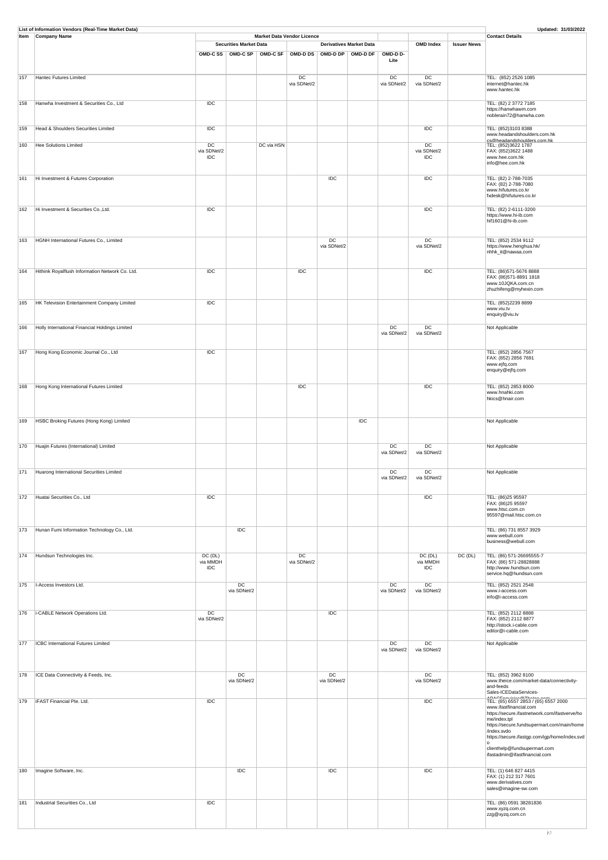|      | List of Information Vendors (Real-Time Market Data) |                         |                               |            |                                   |                   |                                | Updated: 31/03/2022 |                           |                    |                                                               |
|------|-----------------------------------------------------|-------------------------|-------------------------------|------------|-----------------------------------|-------------------|--------------------------------|---------------------|---------------------------|--------------------|---------------------------------------------------------------|
| Item | <b>Company Name</b>                                 |                         |                               |            | <b>Market Data Vendor Licence</b> |                   |                                |                     |                           |                    | <b>Contact Details</b>                                        |
|      |                                                     |                         | <b>Securities Market Data</b> |            |                                   |                   | <b>Derivatives Market Data</b> |                     | <b>OMD Index</b>          | <b>Issuer News</b> |                                                               |
|      |                                                     | OMD-C SS                | <b>OMD-C SP</b>               | OMD-C SF   |                                   | OMD-D DS OMD-D DP | <b>OMD-D DF</b>                | OMD-D D-            |                           |                    |                                                               |
|      |                                                     |                         |                               |            |                                   |                   |                                | Lite                |                           |                    |                                                               |
|      |                                                     |                         |                               |            |                                   |                   |                                |                     |                           |                    |                                                               |
| 157  | Hantec Futures Limited                              |                         |                               |            | DC                                |                   |                                | <b>DC</b>           | DC                        |                    | TEL: (852) 2526 1085                                          |
|      |                                                     |                         |                               |            | via SDNet/2                       |                   |                                | via SDNet/2         | via SDNet/2               |                    | internet@hantec.hk<br>www.hantec.hk                           |
|      |                                                     |                         |                               |            |                                   |                   |                                |                     |                           |                    |                                                               |
| 158  | Hanwha Investment & Securities Co., Ltd             | <b>IDC</b>              |                               |            |                                   |                   |                                |                     |                           |                    | TEL: (82) 2 3772 7185                                         |
|      |                                                     |                         |                               |            |                                   |                   |                                |                     |                           |                    | https://hanwhawm.com<br>noblerain72@hanwha.com                |
|      |                                                     |                         |                               |            |                                   |                   |                                |                     |                           |                    |                                                               |
| 159  | Head & Shoulders Securities Limited                 | IDC                     |                               |            |                                   |                   |                                |                     | <b>IDC</b>                |                    | TEL: (852)3103 8388                                           |
|      |                                                     |                         |                               |            |                                   |                   |                                |                     |                           |                    | www.headandshoulders.com.hk                                   |
| 160  | <b>Hee Solutions Limited</b>                        | <b>DC</b>               |                               | DC via HSN |                                   |                   |                                |                     | DC                        |                    | cs@headandshoulders.com.hk<br>TEL: (852)3622 1787             |
|      |                                                     | via SDNet/2             |                               |            |                                   |                   |                                |                     | via SDNet/2               |                    | FAX: (852)3622 1488                                           |
|      |                                                     | <b>IDC</b>              |                               |            |                                   |                   |                                |                     | <b>IDC</b>                |                    | www.hee.com.hk<br>info@hee.com.hk                             |
|      |                                                     |                         |                               |            |                                   |                   |                                |                     |                           |                    |                                                               |
| 161  | Hi Investment & Futures Corporation                 |                         |                               |            |                                   | IDC               |                                |                     | <b>IDC</b>                |                    | TEL: (82) 2-788-7035                                          |
|      |                                                     |                         |                               |            |                                   |                   |                                |                     |                           |                    | FAX: (82) 2-788-7080                                          |
|      |                                                     |                         |                               |            |                                   |                   |                                |                     |                           |                    | www.hifutures.co.kr<br>fxdesk@hifutures.co.kr                 |
|      |                                                     |                         |                               |            |                                   |                   |                                |                     |                           |                    |                                                               |
| 162  | Hi Investment & Securities Co., Ltd.                | <b>IDC</b>              |                               |            |                                   |                   |                                |                     | <b>IDC</b>                |                    | TEL: (82) 2-6111-3200                                         |
|      |                                                     |                         |                               |            |                                   |                   |                                |                     |                           |                    | https://www.hi-ib.com<br>hif1601@hi-ib.com                    |
|      |                                                     |                         |                               |            |                                   |                   |                                |                     |                           |                    |                                                               |
|      |                                                     |                         |                               |            |                                   |                   |                                |                     |                           |                    |                                                               |
| 163  | HGNH International Futures Co., Limited             |                         |                               |            |                                   | DC<br>via SDNet/2 |                                |                     | DC<br>via SDNet/2         |                    | TEL: (852) 2534 9112                                          |
|      |                                                     |                         |                               |            |                                   |                   |                                |                     |                           |                    | https://www.henghua.hk/<br>nhhk_it@nawaa.com                  |
|      |                                                     |                         |                               |            |                                   |                   |                                |                     |                           |                    |                                                               |
|      |                                                     |                         |                               |            |                                   |                   |                                |                     |                           |                    |                                                               |
| 164  | Hithink Royalflush Information Network Co. Ltd.     | IDC                     |                               |            | IDC                               |                   |                                |                     | <b>IDC</b>                |                    | TEL: (86)571-5676 8888<br>FAX: (86)571-8891 1818              |
|      |                                                     |                         |                               |            |                                   |                   |                                |                     |                           |                    | www.10JQKA.com.cn                                             |
|      |                                                     |                         |                               |            |                                   |                   |                                |                     |                           |                    | zhuzhifeng@myhexin.com                                        |
|      |                                                     |                         |                               |            |                                   |                   |                                |                     |                           |                    |                                                               |
| 165  | HK Television Entertainment Company Limited         | <b>IDC</b>              |                               |            |                                   |                   |                                |                     |                           |                    | TEL: (852)2239 8899<br>www.viu.tv                             |
|      |                                                     |                         |                               |            |                                   |                   |                                |                     |                           |                    | enquiry@viu.tv                                                |
|      |                                                     |                         |                               |            |                                   |                   |                                |                     |                           |                    |                                                               |
| 166  | Holly International Financial Holdings Limited      |                         |                               |            |                                   |                   |                                | DC<br>via SDNet/2   | DC<br>via SDNet/2         |                    | Not Applicable                                                |
|      |                                                     |                         |                               |            |                                   |                   |                                |                     |                           |                    |                                                               |
|      |                                                     |                         |                               |            |                                   |                   |                                |                     |                           |                    |                                                               |
| 167  | Hong Kong Economic Journal Co., Ltd                 | <b>IDC</b>              |                               |            |                                   |                   |                                |                     |                           |                    | TEL: (852) 2856 7567<br>FAX: (852) 2856 7691                  |
|      |                                                     |                         |                               |            |                                   |                   |                                |                     |                           |                    | www.ejfq.com                                                  |
|      |                                                     |                         |                               |            |                                   |                   |                                |                     |                           |                    | enquiry@ejfq.com                                              |
|      |                                                     |                         |                               |            |                                   |                   |                                |                     |                           |                    |                                                               |
| 168  | Hong Kong International Futures Limited             |                         |                               |            | IDC                               |                   |                                |                     | <b>IDC</b>                |                    | TEL: (852) 2853 8000                                          |
|      |                                                     |                         |                               |            |                                   |                   |                                |                     |                           |                    | www.hnahki.com<br>hkics@hnair.com                             |
|      |                                                     |                         |                               |            |                                   |                   |                                |                     |                           |                    |                                                               |
|      |                                                     |                         |                               |            |                                   |                   |                                |                     |                           |                    |                                                               |
| 169  | HSBC Broking Futures (Hong Kong) Limited            |                         |                               |            |                                   |                   | <b>IDC</b>                     |                     |                           |                    | Not Applicable                                                |
|      |                                                     |                         |                               |            |                                   |                   |                                |                     |                           |                    |                                                               |
|      |                                                     |                         |                               |            |                                   |                   |                                |                     |                           |                    |                                                               |
| 170  | Huajin Futures (International) Limited              |                         |                               |            |                                   |                   |                                | DC                  | DC                        |                    | Not Applicable                                                |
|      |                                                     |                         |                               |            |                                   |                   |                                | via SDNet/2         | via SDNet/2               |                    |                                                               |
|      |                                                     |                         |                               |            |                                   |                   |                                |                     |                           |                    |                                                               |
| 171  | Huarong International Securities Limited            |                         |                               |            |                                   |                   |                                | DC                  | DC                        |                    | Not Applicable                                                |
|      |                                                     |                         |                               |            |                                   |                   |                                | via SDNet/2         | via SDNet/2               |                    |                                                               |
|      |                                                     |                         |                               |            |                                   |                   |                                |                     |                           |                    |                                                               |
|      |                                                     |                         |                               |            |                                   |                   |                                |                     |                           |                    |                                                               |
| 172  | Huatai Securities Co., Ltd                          | <b>IDC</b>              |                               |            |                                   |                   |                                |                     | <b>IDC</b>                |                    | TEL: (86)25 95597<br>FAX: (86)25 95597                        |
|      |                                                     |                         |                               |            |                                   |                   |                                |                     |                           |                    | www.htsc.com.cn                                               |
|      |                                                     |                         |                               |            |                                   |                   |                                |                     |                           |                    | 95597@mail.htsc.com.cn                                        |
|      |                                                     |                         |                               |            |                                   |                   |                                |                     |                           |                    |                                                               |
| 173  | Hunan Fumi Information Technology Co., Ltd.         |                         | <b>IDC</b>                    |            |                                   |                   |                                |                     |                           |                    | TEL: (86) 731 8557 3929<br>www.webull.com                     |
|      |                                                     |                         |                               |            |                                   |                   |                                |                     |                           |                    | business@webull.com                                           |
|      |                                                     |                         |                               |            |                                   |                   |                                |                     |                           |                    |                                                               |
| 174  | Hundsun Technologies Inc.                           | $DC$ $(DL)$<br>via MMDH |                               |            | DC<br>via SDNet/2                 |                   |                                |                     | $DC$ ( $DL$ )<br>via MMDH | DC(DL)             | TEL: (86) 571-26695555-7<br>FAX: (86) 571-28828888            |
|      |                                                     | IDC                     |                               |            |                                   |                   |                                |                     | <b>IDC</b>                |                    | http://www.hundsun.com                                        |
|      |                                                     |                         |                               |            |                                   |                   |                                |                     |                           |                    | service.hq@hundsun.com                                        |
| 175  | I-Access Investors Ltd.                             |                         | DC                            |            |                                   |                   |                                | DC                  | DC                        |                    | TEL: (852) 2521 2548                                          |
|      |                                                     |                         | via SDNet/2                   |            |                                   |                   |                                | via SDNet/2         | via SDNet/2               |                    | www.i-access.com                                              |
|      |                                                     |                         |                               |            |                                   |                   |                                |                     |                           |                    | info@i-access.com                                             |
|      |                                                     |                         |                               |            |                                   |                   |                                |                     |                           |                    |                                                               |
| 176  | i-CABLE Network Operations Ltd.                     | DC<br>via SDNet/2       |                               |            |                                   | IDC               |                                |                     |                           |                    | TEL: (852) 2112 8888<br>FAX: (852) 2112 8877                  |
|      |                                                     |                         |                               |            |                                   |                   |                                |                     |                           |                    | http://istock.i-cable.com                                     |
|      |                                                     |                         |                               |            |                                   |                   |                                |                     |                           |                    | editor@i-cable.com                                            |
| 177  | ICBC International Futures Limited                  |                         |                               |            |                                   |                   |                                | $DC$                | DC                        |                    | Not Applicable                                                |
|      |                                                     |                         |                               |            |                                   |                   |                                | via SDNet/2         | via SDNet/2               |                    |                                                               |
|      |                                                     |                         |                               |            |                                   |                   |                                |                     |                           |                    |                                                               |
|      |                                                     |                         |                               |            |                                   |                   |                                |                     |                           |                    |                                                               |
| 178  | ICE Data Connectivity & Feeds, Inc.                 |                         | DC                            |            |                                   | DC                |                                |                     | DC                        |                    | TEL: (852) 3962 8100                                          |
|      |                                                     |                         | via SDNet/2                   |            |                                   | via SDNet/2       |                                |                     | via SDNet/2               |                    | www.theice.com/market-data/connectivity-                      |
|      |                                                     |                         |                               |            |                                   |                   |                                |                     |                           |                    | and-feeds<br>Sales-ICEDataServices-                           |
| 179  | IFAST Financial Pte. Ltd.                           | <b>IDC</b>              |                               |            |                                   |                   |                                |                     | <b>IDC</b>                |                    | $\sqrt{2}$<br>TEL: (65) 6557 2853 / (65) 6557 2000            |
|      |                                                     |                         |                               |            |                                   |                   |                                |                     |                           |                    | www.ifastfinancial.com                                        |
|      |                                                     |                         |                               |            |                                   |                   |                                |                     |                           |                    | https://secure.ifastnetwork.com/ifastverve/ho<br>me/index.tpl |
|      |                                                     |                         |                               |            |                                   |                   |                                |                     |                           |                    | https://secure.fundsupermart.com/main/home                    |
|      |                                                     |                         |                               |            |                                   |                   |                                |                     |                           |                    | /index.svdo                                                   |
|      |                                                     |                         |                               |            |                                   |                   |                                |                     |                           |                    | https://secure.ifastgp.com/igp/home/index.svd<br>lo.          |
|      |                                                     |                         |                               |            |                                   |                   |                                |                     |                           |                    | clienthelp@fundsupermart.com                                  |
|      |                                                     |                         |                               |            |                                   |                   |                                |                     |                           |                    | ifastadmin@ifastfinancial.com                                 |
|      |                                                     |                         |                               |            |                                   |                   |                                |                     |                           |                    |                                                               |
| 180  | Imagine Software, Inc.                              |                         | <b>IDC</b>                    |            |                                   | <b>IDC</b>        |                                |                     | <b>IDC</b>                |                    | TEL: (1) 646 827 4415                                         |
|      |                                                     |                         |                               |            |                                   |                   |                                |                     |                           |                    | FAX: (1) 212 317 7601<br>www.derivatives.com                  |
|      |                                                     |                         |                               |            |                                   |                   |                                |                     |                           |                    | sales@imagine-sw.com                                          |
|      |                                                     |                         |                               |            |                                   |                   |                                |                     |                           |                    |                                                               |
| 181  | Industrial Securities Co., Ltd                      | IDC                     |                               |            |                                   |                   |                                |                     |                           |                    | TEL: (86) 0591 38281836<br>www.xyzq.com.cn                    |
|      |                                                     |                         |                               |            |                                   |                   |                                |                     |                           |                    | zzg@xyzq.com.cn                                               |
|      |                                                     |                         |                               |            |                                   |                   |                                |                     |                           |                    |                                                               |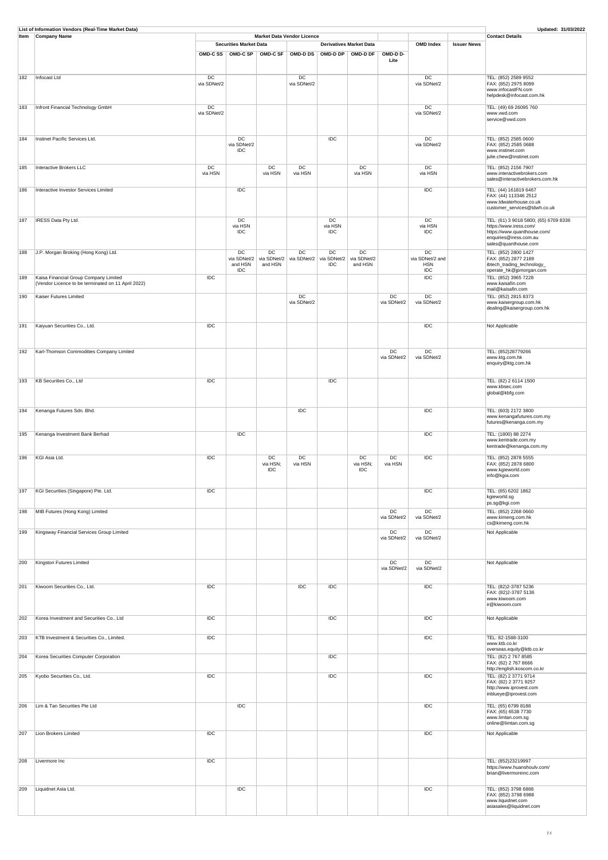| List of Information Vendors (Real-Time Market Data) |                                                                                             |               |                               |                        |                                   |                                |                                |                   |                               |                    | Updated: 31/03/2022                                             |
|-----------------------------------------------------|---------------------------------------------------------------------------------------------|---------------|-------------------------------|------------------------|-----------------------------------|--------------------------------|--------------------------------|-------------------|-------------------------------|--------------------|-----------------------------------------------------------------|
|                                                     | <b>Item</b> Company Name                                                                    |               | <b>Securities Market Data</b> |                        | <b>Market Data Vendor Licence</b> |                                | <b>Derivatives Market Data</b> |                   | <b>OMD Index</b>              | <b>Issuer News</b> | <b>Contact Details</b>                                          |
|                                                     |                                                                                             |               |                               |                        |                                   |                                |                                |                   |                               |                    |                                                                 |
|                                                     |                                                                                             | OMD-C SS      | OMD-C SP                      | OMD-C SF               |                                   | OMD-D DS OMD-D DP              | OMD-D DF                       | OMD-D D-<br>Lite  |                               |                    |                                                                 |
|                                                     |                                                                                             |               |                               |                        |                                   |                                |                                |                   |                               |                    |                                                                 |
| 182                                                 | Infocast Ltd                                                                                | DC            |                               |                        | DC                                |                                |                                |                   | DC                            |                    | TEL: (852) 2589 9552                                            |
|                                                     |                                                                                             | via SDNet/2   |                               |                        | via SDNet/2                       |                                |                                |                   | via SDNet/2                   |                    | FAX: (852) 2975 8099<br>www.infocastFN.com                      |
|                                                     |                                                                                             |               |                               |                        |                                   |                                |                                |                   |                               |                    | helpdesk@infocast.com.hk                                        |
| 183                                                 | Infront Financial Technology GmbH                                                           | DC            |                               |                        |                                   |                                |                                |                   | DC                            |                    | TEL: (49) 69 26095 760                                          |
|                                                     |                                                                                             | via SDNet/2   |                               |                        |                                   |                                |                                |                   | via SDNet/2                   |                    | www.vwd.com                                                     |
|                                                     |                                                                                             |               |                               |                        |                                   |                                |                                |                   |                               |                    | service@vwd.com                                                 |
|                                                     |                                                                                             |               |                               |                        |                                   |                                |                                |                   |                               |                    |                                                                 |
| 184                                                 | Instinet Pacific Services Ltd.                                                              |               | DC<br>via SDNet/2             |                        |                                   | IDC                            |                                |                   | DC<br>via SDNet/2             |                    | TEL: (852) 2585 0600<br>FAX: (852) 2585 0688                    |
|                                                     |                                                                                             |               | <b>IDC</b>                    |                        |                                   |                                |                                |                   |                               |                    | www.instinet.com                                                |
|                                                     |                                                                                             |               |                               |                        |                                   |                                |                                |                   |                               |                    | julie.chew@instinet.com                                         |
| 185                                                 | <b>Interactive Brokers LLC</b>                                                              | DC<br>via HSN |                               | DC<br>via HSN          | DC<br>via HSN                     |                                | DC<br>via HSN                  |                   | DC<br>via HSN                 |                    | TEL: (852) 2156 7907<br>www.interactivebrokers.com              |
|                                                     |                                                                                             |               |                               |                        |                                   |                                |                                |                   |                               |                    | sales@interactivebrokers.com.hk                                 |
| 186                                                 | Interactive Investor Services Limited                                                       |               | IDC                           |                        |                                   |                                |                                |                   | <b>IDC</b>                    |                    | TEL: (44) 161819 6467                                           |
|                                                     |                                                                                             |               |                               |                        |                                   |                                |                                |                   |                               |                    | FAX: (44) 113346 2512                                           |
|                                                     |                                                                                             |               |                               |                        |                                   |                                |                                |                   |                               |                    | www.tdwaterhouse.co.uk<br>customer_services@tdwh.co.uk          |
|                                                     |                                                                                             |               | DC                            |                        |                                   | DC                             |                                |                   | DC                            |                    |                                                                 |
| 187                                                 | IRESS Data Pty Ltd.                                                                         |               | via HSN                       |                        |                                   | via HSN                        |                                |                   | via HSN                       |                    | TEL: (61) 3 9018 5800; (65) 6709 8336<br>https://www.iress.com/ |
|                                                     |                                                                                             |               | IDC                           |                        |                                   | IDC                            |                                |                   | <b>IDC</b>                    |                    | https://www.quanthouse.com/<br>enquiries@iress.com.au           |
|                                                     |                                                                                             |               |                               |                        |                                   |                                |                                |                   |                               |                    | sales@quanthouse.com                                            |
| 188                                                 | J.P. Morgan Broking (Hong Kong) Ltd.                                                        |               | DC                            | DC                     | DC                                | DC                             | DC                             |                   | DC                            |                    | TEL: (852) 2800 1427                                            |
|                                                     |                                                                                             |               | via SDNet/2<br>and HSN        | via SDNet/2<br>and HSN |                                   | via SDNet/2 via SDNet/2<br>IDC | via SDNet/2<br>and HSN         |                   | via SDNet/2 and<br><b>HSN</b> |                    | FAX: (852) 2877 2189<br>ibtech_trading_technology_              |
|                                                     |                                                                                             |               | IDC                           |                        |                                   |                                |                                |                   | <b>IDC</b>                    |                    | operate_hk@jpmorgan.com                                         |
| 189                                                 | Kaisa Financial Group Company Limited<br>(Vendor Licence to be terminated on 11 April 2022) | <b>IDC</b>    |                               |                        |                                   |                                |                                |                   | <b>IDC</b>                    |                    | TEL: (852) 3965 7228<br>www.kaisafin.com                        |
|                                                     |                                                                                             |               |                               |                        |                                   |                                |                                |                   |                               |                    | mail@kaisafin.com                                               |
| 190                                                 | Kaiser Futures Limited                                                                      |               |                               |                        | DC<br>via SDNet/2                 |                                |                                | DC<br>via SDNet/2 | DC<br>via SDNet/2             |                    | TEL: (852) 2815 8373                                            |
|                                                     |                                                                                             |               |                               |                        |                                   |                                |                                |                   |                               |                    | www.kaisergroup.com.hk<br>dealing@kaisergroup.com.hk            |
|                                                     |                                                                                             |               |                               |                        |                                   |                                |                                |                   |                               |                    |                                                                 |
| 191                                                 | Kaiyuan Securities Co., Ltd.                                                                | <b>IDC</b>    |                               |                        |                                   |                                |                                |                   | <b>IDC</b>                    |                    | Not Applicable                                                  |
|                                                     |                                                                                             |               |                               |                        |                                   |                                |                                |                   |                               |                    |                                                                 |
|                                                     |                                                                                             |               |                               |                        |                                   |                                |                                |                   |                               |                    |                                                                 |
| 192                                                 | Karl-Thomson Commodities Company Limited                                                    |               |                               |                        |                                   |                                |                                | DC<br>via SDNet/2 | DC<br>via SDNet/2             |                    | TEL: (852)28779266<br>www.ktg.com.hk                            |
|                                                     |                                                                                             |               |                               |                        |                                   |                                |                                |                   |                               |                    | enquiry@ktg.com.hk                                              |
|                                                     |                                                                                             |               |                               |                        |                                   |                                |                                |                   |                               |                    |                                                                 |
| 193                                                 | KB Securities Co., Ltd                                                                      | <b>IDC</b>    |                               |                        |                                   | IDC                            |                                |                   |                               |                    | TEL: (82) 2 6114 1500                                           |
|                                                     |                                                                                             |               |                               |                        |                                   |                                |                                |                   |                               |                    | www.kbsec.com<br>global@kbfg.com                                |
|                                                     |                                                                                             |               |                               |                        |                                   |                                |                                |                   |                               |                    |                                                                 |
| 194                                                 | Kenanga Futures Sdn. Bhd.                                                                   |               |                               |                        | IDC                               |                                |                                |                   | IDC                           |                    | TEL: (603) 2172 3800                                            |
|                                                     |                                                                                             |               |                               |                        |                                   |                                |                                |                   |                               |                    | www.kenangafutures.com.my<br>futures@kenanga.com.my             |
|                                                     |                                                                                             |               |                               |                        |                                   |                                |                                |                   |                               |                    |                                                                 |
| 195                                                 | Kenanga Investment Bank Berhad                                                              |               | <b>IDC</b>                    |                        |                                   |                                |                                |                   | IDC                           |                    | TEL: (1800) 88 2274<br>www.kentrade.com.my                      |
|                                                     |                                                                                             |               |                               |                        |                                   |                                |                                |                   |                               |                    | kentrade@kenanga.com.my                                         |
| 196                                                 | KGI Asia Ltd.                                                                               | IDC           |                               | DC                     | DC                                |                                | DC                             | DC                | IDC                           |                    | TEL: (852) 2878 5555                                            |
|                                                     |                                                                                             |               |                               | via HSN;<br>IDC        | via HSN                           |                                | via HSN;<br>IDC                | via HSN           |                               |                    | FAX: (852) 2878 6800<br>www.kgieworld.com                       |
|                                                     |                                                                                             |               |                               |                        |                                   |                                |                                |                   |                               |                    | info@kgia.com                                                   |
|                                                     |                                                                                             |               |                               |                        |                                   |                                |                                |                   |                               |                    |                                                                 |
| 197                                                 | KGI Securities (Singapore) Pte. Ltd.                                                        | IDC           |                               |                        |                                   |                                |                                |                   | <b>IDC</b>                    |                    | TEL: (65) 6202 1862<br>kgieworld.sg                             |
|                                                     |                                                                                             |               |                               |                        |                                   |                                |                                |                   |                               |                    | ps.sg@kgi.com                                                   |
| 198                                                 | MIB Futures (Hong Kong) Limited                                                             |               |                               |                        |                                   |                                |                                | DC                | DC                            |                    | TEL: (852) 2268 0660                                            |
|                                                     |                                                                                             |               |                               |                        |                                   |                                |                                | via SDNet/2       | via SDNet/2                   |                    | www.kimeng.com.hk<br>cs@kimeng.com.hk                           |
| 199                                                 | Kingsway Financial Services Group Limited                                                   |               |                               |                        |                                   |                                |                                | DC                | DC                            |                    | Not Applicable                                                  |
|                                                     |                                                                                             |               |                               |                        |                                   |                                |                                | via SDNet/2       | via SDNet/2                   |                    |                                                                 |
|                                                     |                                                                                             |               |                               |                        |                                   |                                |                                |                   |                               |                    |                                                                 |
| 200                                                 | Kingston Futures Limited                                                                    |               |                               |                        |                                   |                                |                                | DC                | DC                            |                    | Not Applicable                                                  |
|                                                     |                                                                                             |               |                               |                        |                                   |                                |                                | via SDNet/2       | via SDNet/2                   |                    |                                                                 |
|                                                     |                                                                                             |               |                               |                        |                                   |                                |                                |                   |                               |                    |                                                                 |
| 201                                                 | Kiwoom Securities Co., Ltd.                                                                 | IDC           |                               |                        | <b>IDC</b>                        | <b>IDC</b>                     |                                |                   | IDC                           |                    | TEL: (82)2-3787 5236                                            |
|                                                     |                                                                                             |               |                               |                        |                                   |                                |                                |                   |                               |                    | FAX: (82)2-3787 5136<br>www.kiwoom.com                          |
|                                                     |                                                                                             |               |                               |                        |                                   |                                |                                |                   |                               |                    | ir@kiwoom.com                                                   |
| 202                                                 | Korea Investment and Securities Co., Ltd                                                    | IDC           |                               |                        |                                   | IDC                            |                                |                   | <b>IDC</b>                    |                    | Not Applicable                                                  |
|                                                     |                                                                                             |               |                               |                        |                                   |                                |                                |                   |                               |                    |                                                                 |
| 203                                                 | KTB Investment & Securities Co., Limited.                                                   | IDC           |                               |                        |                                   |                                |                                |                   | IDC                           |                    | TEL: 82-1588-3100                                               |
|                                                     |                                                                                             |               |                               |                        |                                   |                                |                                |                   |                               |                    | www.ktb.co.kr                                                   |
| 204                                                 | Korea Securities Computer Corporation                                                       |               |                               |                        |                                   | <b>IDC</b>                     |                                |                   |                               |                    | overseas.equity@ktb.co.kr<br>TEL: (82) 2 767 8585               |
|                                                     |                                                                                             |               |                               |                        |                                   |                                |                                |                   |                               |                    | FAX: (82) 2 767 8666                                            |
| 205                                                 | Kyobo Securities Co., Ltd.                                                                  | <b>IDC</b>    |                               |                        |                                   | IDC                            |                                |                   | <b>IDC</b>                    |                    | http://english.koscom.co.kr<br>TEL: (82) 2 3771 9714            |
|                                                     |                                                                                             |               |                               |                        |                                   |                                |                                |                   |                               |                    | FAX: (82) 2 3771 9257                                           |
|                                                     |                                                                                             |               |                               |                        |                                   |                                |                                |                   |                               |                    | http://www.iprovest.com<br>inblueye@iprovest.com                |
|                                                     |                                                                                             |               |                               |                        |                                   |                                |                                |                   |                               |                    |                                                                 |
| 206                                                 | Lim & Tan Securities Pte Ltd                                                                |               | IDC                           |                        |                                   |                                |                                |                   | <b>IDC</b>                    |                    | TEL: (65) 6799 8188<br>FAX: (65) 6538 7730                      |
|                                                     |                                                                                             |               |                               |                        |                                   |                                |                                |                   |                               |                    | www.limtan.com.sg<br>online@limtan.com.sg                       |
|                                                     |                                                                                             |               |                               |                        |                                   |                                |                                |                   |                               |                    |                                                                 |
| 207                                                 | Lion Brokers Limited                                                                        | IDC           |                               |                        |                                   |                                |                                |                   | IDC                           |                    | Not Applicable                                                  |
|                                                     |                                                                                             |               |                               |                        |                                   |                                |                                |                   |                               |                    |                                                                 |
| 208                                                 | Livermore Inc                                                                               | IDC           |                               |                        |                                   |                                |                                |                   |                               |                    | TEL: (852)23219997                                              |
|                                                     |                                                                                             |               |                               |                        |                                   |                                |                                |                   |                               |                    | https://www.huanshoulv.com/                                     |
|                                                     |                                                                                             |               |                               |                        |                                   |                                |                                |                   |                               |                    | brian@livermoreinc.com                                          |
| 209                                                 | Liquidnet Asia Ltd.                                                                         |               | IDC                           |                        |                                   |                                |                                |                   | IDC                           |                    | TEL: (852) 3798 6888                                            |
|                                                     |                                                                                             |               |                               |                        |                                   |                                |                                |                   |                               |                    | FAX: (852) 3798 6988<br>www.liquidnet.com                       |
|                                                     |                                                                                             |               |                               |                        |                                   |                                |                                |                   |                               |                    | asiasales@liquidnet.com                                         |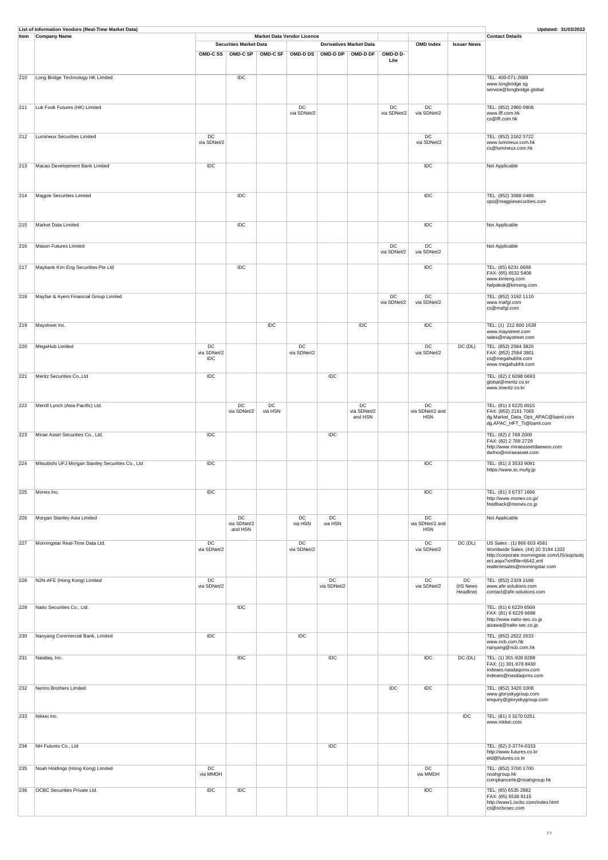|      | List of Information Vendors (Real-Time Market Data) |                                                                    |                   |          |               |                   |                                |                   | Updated: 31/03/2022      |                    |                                                                           |
|------|-----------------------------------------------------|--------------------------------------------------------------------|-------------------|----------|---------------|-------------------|--------------------------------|-------------------|--------------------------|--------------------|---------------------------------------------------------------------------|
| Item | <b>Company Name</b>                                 | <b>Market Data Vendor Licence</b><br><b>Securities Market Data</b> |                   |          |               |                   |                                |                   |                          |                    | <b>Contact Details</b>                                                    |
|      |                                                     |                                                                    |                   |          |               |                   | <b>Derivatives Market Data</b> |                   | <b>OMD Index</b>         | <b>Issuer News</b> |                                                                           |
|      |                                                     | OMD-C SS                                                           | OMD-C SP          | OMD-C SF | OMD-D DS      |                   | OMD-D DP OMD-D DF              | OMD-D D-<br>Lite  |                          |                    |                                                                           |
|      |                                                     |                                                                    |                   |          |               |                   |                                |                   |                          |                    |                                                                           |
| 210  | Long Bridge Technology HK Limited                   |                                                                    | <b>IDC</b>        |          |               |                   |                                |                   |                          |                    | TEL: 400-071-2688                                                         |
|      |                                                     |                                                                    |                   |          |               |                   |                                |                   |                          |                    | www.longbridge.sg                                                         |
|      |                                                     |                                                                    |                   |          |               |                   |                                |                   |                          |                    | service@longbridge.global                                                 |
| 211  | Luk Fook Futures (HK) Limited                       |                                                                    |                   |          | DC            |                   |                                | DC                | DC                       |                    | TEL: (852) 2980 0908                                                      |
|      |                                                     |                                                                    |                   |          | via SDNet/2   |                   |                                | via SDNet/2       | via SDNet/2              |                    | www.lff.com.hk                                                            |
|      |                                                     |                                                                    |                   |          |               |                   |                                |                   |                          |                    | cs@lff.com.hk                                                             |
|      |                                                     |                                                                    |                   |          |               |                   |                                |                   |                          |                    |                                                                           |
| 212  | Lumineux Securities Limited                         | DC<br>via SDNet/2                                                  |                   |          |               |                   |                                |                   | DC<br>via SDNet/2        |                    | TEL: (852) 2162 5722<br>www.lumineux.com.hk                               |
|      |                                                     |                                                                    |                   |          |               |                   |                                |                   |                          |                    | cs@lumineux.com.hk                                                        |
|      |                                                     |                                                                    |                   |          |               |                   |                                |                   |                          |                    |                                                                           |
| 213  | Macao Development Bank Limited                      | IDC                                                                |                   |          |               |                   |                                |                   | <b>IDC</b>               |                    | Not Applicable                                                            |
|      |                                                     |                                                                    |                   |          |               |                   |                                |                   |                          |                    |                                                                           |
|      |                                                     |                                                                    |                   |          |               |                   |                                |                   |                          |                    |                                                                           |
| 214  | Magpie Securities Limited                           |                                                                    | <b>IDC</b>        |          |               |                   |                                |                   | IDC                      |                    | TEL: (852) 3588 0489                                                      |
|      |                                                     |                                                                    |                   |          |               |                   |                                |                   |                          |                    | ops@magpiesecurities.com                                                  |
|      |                                                     |                                                                    |                   |          |               |                   |                                |                   |                          |                    |                                                                           |
| 215  | Market Data Limited                                 |                                                                    | <b>IDC</b>        |          |               |                   |                                |                   | IDC                      |                    | Not Applicable                                                            |
|      |                                                     |                                                                    |                   |          |               |                   |                                |                   |                          |                    |                                                                           |
|      |                                                     |                                                                    |                   |          |               |                   |                                |                   |                          |                    |                                                                           |
| 216  | Mason Futures Limited                               |                                                                    |                   |          |               |                   |                                | DC<br>via SDNet/2 | DC<br>via SDNet/2        |                    | Not Applicable                                                            |
|      |                                                     |                                                                    |                   |          |               |                   |                                |                   |                          |                    |                                                                           |
| 217  | Maybank Kim Eng Securities Pte Ltd                  |                                                                    | <b>IDC</b>        |          |               |                   |                                |                   | IDC                      |                    | TEL: (65) 6231 6688                                                       |
|      |                                                     |                                                                    |                   |          |               |                   |                                |                   |                          |                    | FAX: (65) 6532 5408<br>www.kimeng.com                                     |
|      |                                                     |                                                                    |                   |          |               |                   |                                |                   |                          |                    | helpdesk@kimeng.com                                                       |
| 218  | Mayfair & Ayers Financial Group Limited             |                                                                    |                   |          |               |                   |                                | DC                | <b>DC</b>                |                    | TEL: (852) 3192 1110                                                      |
|      |                                                     |                                                                    |                   |          |               |                   |                                | via SDNet/2       | via SDNet/2              |                    | www.mafgl.com                                                             |
|      |                                                     |                                                                    |                   |          |               |                   |                                |                   |                          |                    | cs@mafgl.com                                                              |
|      |                                                     |                                                                    |                   |          |               |                   |                                |                   |                          |                    |                                                                           |
| 219  | Maystreet Inc.                                      |                                                                    |                   | IDC      |               |                   | IDC                            |                   | IDC                      |                    | TEL: (1) 212 600 1639<br>www.maystreet.com                                |
|      |                                                     |                                                                    |                   |          |               |                   |                                |                   |                          |                    | sales@maystreet.com                                                       |
| 220  | MegaHub Limited                                     | DC                                                                 |                   |          | DC            |                   |                                |                   | DC                       | $DC$ $(DL)$        | TEL: (852) 2584 3820                                                      |
|      |                                                     | via SDNet/2<br>IDC                                                 |                   |          | via SDNet/2   |                   |                                |                   | via SDNet/2              |                    | FAX: (852) 2584 3801<br>cs@megahubhk.com                                  |
|      |                                                     |                                                                    |                   |          |               |                   |                                |                   |                          |                    | www.megahubhk.com                                                         |
| 221  | Meritz Securities Co., Ltd                          | <b>IDC</b>                                                         |                   |          |               | IDC               |                                |                   |                          |                    | TEL: (82) 2 6098 6693                                                     |
|      |                                                     |                                                                    |                   |          |               |                   |                                |                   |                          |                    | global@meritz.co.kr<br>www.imeritz.co.kr                                  |
|      |                                                     |                                                                    |                   |          |               |                   |                                |                   |                          |                    |                                                                           |
| 222  | Merrill Lynch (Asia Pacific) Ltd.                   |                                                                    | DC                | DC       |               |                   | DC                             |                   | DC                       |                    | TEL: (81) 3 6225 8915                                                     |
|      |                                                     |                                                                    | via SDNet/2       | via HSN  |               |                   | via SDNet/2                    |                   | via SDNet/2 and          |                    | FAX: (852) 2161 7065                                                      |
|      |                                                     |                                                                    |                   |          |               |                   | and HSN                        |                   | <b>HSN</b>               |                    | dg.Market_Data_Ops_APAC@baml.com<br>dg.APAC_HFT_TI@baml.com               |
|      |                                                     |                                                                    |                   |          |               |                   |                                |                   |                          |                    |                                                                           |
| 223  | Mirae Asset Securities Co., Ltd.                    | <b>IDC</b>                                                         |                   |          |               | <b>IDC</b>        |                                |                   |                          |                    | TEL: (82) 2 768 2000<br>FAX: (82) 2 768 2729                              |
|      |                                                     |                                                                    |                   |          |               |                   |                                |                   |                          |                    | http://www.miraeassetdaewoo.com                                           |
|      |                                                     |                                                                    |                   |          |               |                   |                                |                   |                          |                    | dwfno@miraeasset.com                                                      |
| 224  | Mitsubishi UFJ Morgan Stanley Securities Co., Ltd   | <b>IDC</b>                                                         |                   |          |               |                   |                                |                   | IDC                      |                    | TEL: (81) 3 3533 9091<br>https://www.sc.mufg.jp                           |
|      |                                                     |                                                                    |                   |          |               |                   |                                |                   |                          |                    |                                                                           |
|      |                                                     |                                                                    |                   |          |               |                   |                                |                   |                          |                    |                                                                           |
| 225  | Monex Inc.                                          | IDC                                                                |                   |          |               |                   |                                |                   | IDC                      |                    | TEL: (81) 3 6737 1666                                                     |
|      |                                                     |                                                                    |                   |          |               |                   |                                |                   |                          |                    | http://www.monex.co.jp/<br>feedback@monex.co.jp                           |
|      |                                                     |                                                                    |                   |          |               |                   |                                |                   |                          |                    |                                                                           |
| 226  | Morgan Stanley Asia Limited                         |                                                                    | DC<br>via SDNet/2 |          | DC<br>via HSN | DC<br>via HSN     |                                |                   | DC<br>via SDNet/2 and    |                    | Not Applicable                                                            |
|      |                                                     |                                                                    | and HSN           |          |               |                   |                                |                   | <b>HSN</b>               |                    |                                                                           |
|      | Morningstar Real-Time Data Ltd.                     |                                                                    |                   |          | DC            |                   |                                |                   |                          |                    | US Sales: (1) 866 603 4581                                                |
| 227  |                                                     | DC<br>via SDNet/2                                                  |                   |          | via SDNet/2   |                   |                                |                   | DC<br>via SDNet/2        | $DC$ $(DL)$        | Worldwide Sales: (44) 20 3194 1332                                        |
|      |                                                     |                                                                    |                   |          |               |                   |                                |                   |                          |                    | http://corporate.morningstar.com/US/asp/subj<br>ect.aspx?xmlfile=6642.xml |
|      |                                                     |                                                                    |                   |          |               |                   |                                |                   |                          |                    | realtimesales@morningstar.com                                             |
|      |                                                     |                                                                    |                   |          |               |                   |                                |                   |                          |                    | TEL: (852) 2329 2188                                                      |
| 228  | N2N-AFE (Hong Kong) Limited                         | DC<br>via SDNet/2                                                  |                   |          |               | DC<br>via SDNet/2 |                                |                   | <b>DC</b><br>via SDNet/2 | DC<br>(IIS News    | www.afe-solutions.com                                                     |
|      |                                                     |                                                                    |                   |          |               |                   |                                |                   |                          | Headline)          | contact@afe-solutions.com                                                 |
| 229  | Naito Securities Co., Ltd.                          |                                                                    | IDC               |          |               |                   |                                |                   |                          |                    | TEL: (81) 6 6229 6509                                                     |
|      |                                                     |                                                                    |                   |          |               |                   |                                |                   |                          |                    | FAX: (81) 6 6229 6688                                                     |
|      |                                                     |                                                                    |                   |          |               |                   |                                |                   |                          |                    | http://www.naito-sec.co.jp<br>aizawa@naito-sec.co.jp                      |
|      |                                                     | <b>IDC</b>                                                         |                   |          | <b>IDC</b>    |                   |                                |                   |                          |                    | TEL: (852) 2622 2633                                                      |
| 230  | Nanyang Commercial Bank, Limited                    |                                                                    |                   |          |               |                   |                                |                   |                          |                    | www.ncb.com.hk                                                            |
|      |                                                     |                                                                    |                   |          |               |                   |                                |                   |                          |                    | nanyang@ncb.com.hk                                                        |
| 231  | Nasdaq, Inc.                                        |                                                                    | IDC               |          |               | IDC               |                                |                   | <b>IDC</b>               | DC(DL)             | TEL: (1) 301-928 8288                                                     |
|      |                                                     |                                                                    |                   |          |               |                   |                                |                   |                          |                    | FAX: (1) 301-978 8430<br>indexes.nasdaqomx.com                            |
|      |                                                     |                                                                    |                   |          |               |                   |                                |                   |                          |                    | indexes@nasdaqomx.com                                                     |
| 232  | Nerico Brothers Limited                             |                                                                    |                   |          |               |                   |                                | IDC               | <b>IDC</b>               |                    | TEL: (852) 3420 1008                                                      |
|      |                                                     |                                                                    |                   |          |               |                   |                                |                   |                          |                    | www.gloryskygroup.com                                                     |
|      |                                                     |                                                                    |                   |          |               |                   |                                |                   |                          |                    | enquiry@gloryskygroup.com                                                 |
| 233  | Nikkei Inc.                                         |                                                                    |                   |          |               |                   |                                |                   |                          | IDC                | TEL: (81) 3 3270 0251                                                     |
|      |                                                     |                                                                    |                   |          |               |                   |                                |                   |                          |                    | www.nikkei.com                                                            |
|      |                                                     |                                                                    |                   |          |               |                   |                                |                   |                          |                    |                                                                           |
|      |                                                     |                                                                    |                   |          |               |                   |                                |                   |                          |                    |                                                                           |
| 234  | NH Futures Co., Ltd                                 |                                                                    |                   |          |               | <b>IDC</b>        |                                |                   |                          |                    | TEL: (82) 2-3774-0333<br>http://www.futures.co.kr                         |
|      |                                                     |                                                                    |                   |          |               |                   |                                |                   |                          |                    | etd@futures.co.kr                                                         |
| 235  | Noah Holdings (Hong Kong) Limited                   | DC                                                                 |                   |          |               |                   |                                |                   | <b>DC</b>                |                    | TEL: (852) 3700 1700                                                      |
|      |                                                     | via MMDH                                                           |                   |          |               |                   |                                |                   | via MMDH                 |                    | noahgroup.hk<br>compliancehk@noahgroup.hk                                 |
| 236  | OCBC Securities Private Ltd.                        | <b>IDC</b>                                                         | <b>IDC</b>        |          |               |                   |                                |                   | <b>IDC</b>               |                    | TEL: (65) 6535 2882                                                       |
|      |                                                     |                                                                    |                   |          |               |                   |                                |                   |                          |                    | FAX: (65) 6538 9115                                                       |
|      |                                                     |                                                                    |                   |          |               |                   |                                |                   |                          |                    | http://www1.iocbc.com/index.html<br>cs@ocbcsec.com                        |
|      |                                                     |                                                                    |                   |          |               |                   |                                |                   |                          |                    |                                                                           |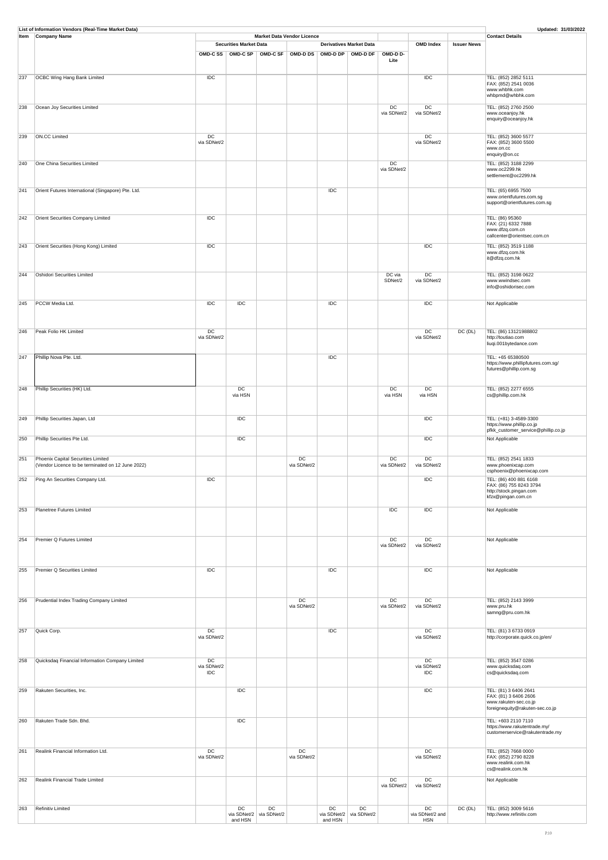|     | List of Information Vendors (Real-Time Market Data)<br><b>Item</b> Company Name |             |                               | <b>Market Data Vendor Licence</b> |                                     |                                |             |                   |                   |                    | Updated: 31/03/2022<br><b>Contact Details</b>                    |
|-----|---------------------------------------------------------------------------------|-------------|-------------------------------|-----------------------------------|-------------------------------------|--------------------------------|-------------|-------------------|-------------------|--------------------|------------------------------------------------------------------|
|     |                                                                                 |             | <b>Securities Market Data</b> |                                   |                                     | <b>Derivatives Market Data</b> |             |                   | <b>OMD Index</b>  | <b>Issuer News</b> |                                                                  |
|     |                                                                                 |             |                               |                                   |                                     |                                |             |                   |                   |                    |                                                                  |
|     |                                                                                 |             | OMD-CSS   OMD-CSP             |                                   | OMD-C SF OMD-D DS OMD-D DP OMD-D DF |                                |             | OMD-D D-<br>Lite  |                   |                    |                                                                  |
|     |                                                                                 |             |                               |                                   |                                     |                                |             |                   |                   |                    |                                                                  |
| 237 | <b>OCBC Wing Hang Bank Limited</b>                                              | IDC         |                               |                                   |                                     |                                |             |                   | IDC               |                    | TEL: (852) 2852 5111                                             |
|     |                                                                                 |             |                               |                                   |                                     |                                |             |                   |                   |                    | FAX: (852) 2541 0036<br>www.whbhk.com                            |
|     |                                                                                 |             |                               |                                   |                                     |                                |             |                   |                   |                    | whbpmd@whbhk.com                                                 |
|     |                                                                                 |             |                               |                                   |                                     |                                |             |                   |                   |                    |                                                                  |
| 238 | Ocean Joy Securities Limited                                                    |             |                               |                                   |                                     |                                |             | DC<br>via SDNet/2 | DC<br>via SDNet/2 |                    | TEL: (852) 2760 2500                                             |
|     |                                                                                 |             |                               |                                   |                                     |                                |             |                   |                   |                    | www.oceanjoy.hk<br>enquiry@oceanjoy.hk                           |
|     |                                                                                 |             |                               |                                   |                                     |                                |             |                   |                   |                    |                                                                  |
| 239 | ON.CC Limited                                                                   | DC          |                               |                                   |                                     |                                |             |                   | <b>DC</b>         |                    | TEL: (852) 3600 5577                                             |
|     |                                                                                 | via SDNet/2 |                               |                                   |                                     |                                |             |                   | via SDNet/2       |                    | FAX: (852) 3600 5500                                             |
|     |                                                                                 |             |                               |                                   |                                     |                                |             |                   |                   |                    | www.on.cc                                                        |
|     |                                                                                 |             |                               |                                   |                                     |                                |             |                   |                   |                    | enquiry@on.cc                                                    |
| 240 | One China Securities Limited                                                    |             |                               |                                   |                                     |                                |             | DC                |                   |                    | TEL: (852) 3188 2299                                             |
|     |                                                                                 |             |                               |                                   |                                     |                                |             | via SDNet/2       |                   |                    | www.oc2299.hk<br>settlement@oc2299.hk                            |
|     |                                                                                 |             |                               |                                   |                                     |                                |             |                   |                   |                    |                                                                  |
| 241 | Orient Futures International (Singapore) Pte. Ltd.                              |             |                               |                                   |                                     | IDC                            |             |                   |                   |                    | TEL: (65) 6955 7500                                              |
|     |                                                                                 |             |                               |                                   |                                     |                                |             |                   |                   |                    | www.orientfutures.com.sg                                         |
|     |                                                                                 |             |                               |                                   |                                     |                                |             |                   |                   |                    | support@orientfutures.com.sg                                     |
|     |                                                                                 |             |                               |                                   |                                     |                                |             |                   |                   |                    |                                                                  |
| 242 | Orient Securities Company Limited                                               | IDC         |                               |                                   |                                     |                                |             |                   |                   |                    | TEL: (86) 95360<br>FAX: (21) 6332 7888                           |
|     |                                                                                 |             |                               |                                   |                                     |                                |             |                   |                   |                    | www.dfzq.com.cn                                                  |
|     |                                                                                 |             |                               |                                   |                                     |                                |             |                   |                   |                    | callcenter@orientsec.com.cn                                      |
| 243 | Orient Securities (Hong Kong) Limited                                           | IDC         |                               |                                   |                                     |                                |             |                   | IDC               |                    | TEL: (852) 3519 1188                                             |
|     |                                                                                 |             |                               |                                   |                                     |                                |             |                   |                   |                    | www.dfzq.com.hk                                                  |
|     |                                                                                 |             |                               |                                   |                                     |                                |             |                   |                   |                    | it@dfzq.com.hk                                                   |
|     |                                                                                 |             |                               |                                   |                                     |                                |             |                   |                   |                    |                                                                  |
| 244 | <b>Oshidori Securities Limited</b>                                              |             |                               |                                   |                                     |                                |             | DC via<br>SDNet/2 | DC<br>via SDNet/2 |                    | TEL: (852) 3198 0622<br>www.wwindsec.com                         |
|     |                                                                                 |             |                               |                                   |                                     |                                |             |                   |                   |                    | info@oshidorisec.com                                             |
|     |                                                                                 |             |                               |                                   |                                     |                                |             |                   |                   |                    |                                                                  |
| 245 | PCCW Media Ltd.                                                                 | <b>IDC</b>  | <b>IDC</b>                    |                                   |                                     | <b>IDC</b>                     |             |                   | <b>IDC</b>        |                    | Not Applicable                                                   |
|     |                                                                                 |             |                               |                                   |                                     |                                |             |                   |                   |                    |                                                                  |
|     |                                                                                 |             |                               |                                   |                                     |                                |             |                   |                   |                    |                                                                  |
|     |                                                                                 |             |                               |                                   |                                     |                                |             |                   |                   |                    |                                                                  |
| 246 | Peak Folio HK Limited                                                           | DC          |                               |                                   |                                     |                                |             |                   | DC                | DC (DL)            | TEL: (86) 13121988802                                            |
|     |                                                                                 | via SDNet/2 |                               |                                   |                                     |                                |             |                   | via SDNet/2       |                    | http://toutiao.com<br>liuqi.001bytedance.com                     |
|     |                                                                                 |             |                               |                                   |                                     |                                |             |                   |                   |                    |                                                                  |
| 247 | Phillip Nova Pte. Ltd.                                                          |             |                               |                                   |                                     | <b>IDC</b>                     |             |                   |                   |                    | TEL: +65 65380500                                                |
|     |                                                                                 |             |                               |                                   |                                     |                                |             |                   |                   |                    | https://www.phillipfutures.com.sg/                               |
|     |                                                                                 |             |                               |                                   |                                     |                                |             |                   |                   |                    | futures@phillip.com.sg                                           |
|     |                                                                                 |             |                               |                                   |                                     |                                |             |                   |                   |                    |                                                                  |
| 248 | Phillip Securities (HK) Ltd.                                                    |             | DC                            |                                   |                                     |                                |             | DC                | DC                |                    | TEL: (852) 2277 6555                                             |
|     |                                                                                 |             | via HSN                       |                                   |                                     |                                |             | via HSN           | via HSN           |                    | cs@phillip.com.hk                                                |
|     |                                                                                 |             |                               |                                   |                                     |                                |             |                   |                   |                    |                                                                  |
|     |                                                                                 |             |                               |                                   |                                     |                                |             |                   |                   |                    |                                                                  |
| 249 | Phillip Securities Japan, Ltd                                                   |             | IDC                           |                                   |                                     |                                |             |                   | <b>IDC</b>        |                    | TEL: (+81) 3-4589-3300                                           |
|     |                                                                                 |             |                               |                                   |                                     |                                |             |                   |                   |                    | https://www.phillip.co.jp<br>pfkk_customer_service@phillip.co.jp |
|     | Phillip Securities Pte Ltd.                                                     |             |                               |                                   |                                     |                                |             |                   |                   |                    |                                                                  |
| 250 |                                                                                 |             | <b>IDC</b>                    |                                   |                                     |                                |             |                   | <b>IDC</b>        |                    | Not Applicable                                                   |
|     |                                                                                 |             |                               |                                   |                                     |                                |             |                   |                   |                    |                                                                  |
| 251 | Phoenix Capital Securities Limited                                              |             |                               |                                   | DC                                  |                                |             | DC                | DC                |                    | TEL: (852) 2541 1833                                             |
|     | (Vendor Licence to be terminated on 12 June 2022)                               |             |                               |                                   | via SDNet/2                         |                                |             | via SDNet/2       | via SDNet/2       |                    | www.phoenixcap.com                                               |
|     |                                                                                 |             |                               |                                   |                                     |                                |             |                   |                   |                    | csphoenix@phoenixcap.com                                         |
| 252 | Ping An Securities Company Ltd.                                                 | IDC         |                               |                                   |                                     |                                |             |                   | IDC               |                    | TEL: (86) 400 881 6168<br>FAX: (86) 755 8243 3794                |
|     |                                                                                 |             |                               |                                   |                                     |                                |             |                   |                   |                    | http://stock.pingan.com                                          |
|     |                                                                                 |             |                               |                                   |                                     |                                |             |                   |                   |                    | kfzx@pingan.com.cn                                               |
| 253 | Planetree Futures Limited                                                       |             |                               |                                   |                                     |                                |             | <b>IDC</b>        | IDC               |                    |                                                                  |
|     |                                                                                 |             |                               |                                   |                                     |                                |             |                   |                   |                    | Not Applicable                                                   |
|     |                                                                                 |             |                               |                                   |                                     |                                |             |                   |                   |                    |                                                                  |
|     |                                                                                 |             |                               |                                   |                                     |                                |             |                   |                   |                    |                                                                  |
| 254 | Premier Q Futures Limited                                                       |             |                               |                                   |                                     |                                |             | DC                | DC                |                    | Not Applicable                                                   |
|     |                                                                                 |             |                               |                                   |                                     |                                |             | via SDNet/2       | via SDNet/2       |                    |                                                                  |
|     |                                                                                 |             |                               |                                   |                                     |                                |             |                   |                   |                    |                                                                  |
|     |                                                                                 |             |                               |                                   |                                     |                                |             |                   |                   |                    |                                                                  |
| 255 | Premier Q Securities Limited                                                    | <b>IDC</b>  |                               |                                   |                                     | <b>IDC</b>                     |             |                   | IDC               |                    | Not Applicable                                                   |
|     |                                                                                 |             |                               |                                   |                                     |                                |             |                   |                   |                    |                                                                  |
|     |                                                                                 |             |                               |                                   |                                     |                                |             |                   |                   |                    |                                                                  |
|     |                                                                                 |             |                               |                                   |                                     |                                |             |                   |                   |                    |                                                                  |
| 256 | Prudential Index Trading Company Limited                                        |             |                               |                                   | DC                                  |                                |             | DC                | DC                |                    | TEL: (852) 2143 3999                                             |
|     |                                                                                 |             |                               |                                   | via SDNet/2                         |                                |             | via SDNet/2       | via SDNet/2       |                    | www.pru.hk<br>samng@pru.com.hk                                   |
|     |                                                                                 |             |                               |                                   |                                     |                                |             |                   |                   |                    |                                                                  |
|     |                                                                                 |             |                               |                                   |                                     |                                |             |                   |                   |                    |                                                                  |
| 257 | Quick Corp.                                                                     | DC          |                               |                                   |                                     | <b>IDC</b>                     |             |                   | DC                |                    | TEL: (81) 3 6733 0919                                            |
|     |                                                                                 | via SDNet/2 |                               |                                   |                                     |                                |             |                   | via SDNet/2       |                    | http://corporate.quick.co.jp/en/                                 |
|     |                                                                                 |             |                               |                                   |                                     |                                |             |                   |                   |                    |                                                                  |
| 258 | Quicksdaq Financial Information Company Limited                                 | DC          |                               |                                   |                                     |                                |             |                   | DC                |                    | TEL: (852) 3547 0286                                             |
|     |                                                                                 | via SDNet/2 |                               |                                   |                                     |                                |             |                   | via SDNet/2       |                    | www.quicksdaq.com                                                |
|     |                                                                                 | IDC         |                               |                                   |                                     |                                |             |                   | IDC               |                    | cs@quicksdaq.com                                                 |
|     |                                                                                 |             |                               |                                   |                                     |                                |             |                   |                   |                    |                                                                  |
| 259 | Rakuten Securities, Inc.                                                        |             | IDC                           |                                   |                                     |                                |             |                   | IDC               |                    | TEL: (81) 3 6406 2641                                            |
|     |                                                                                 |             |                               |                                   |                                     |                                |             |                   |                   |                    | FAX: (81) 3 6406 2606                                            |
|     |                                                                                 |             |                               |                                   |                                     |                                |             |                   |                   |                    | www.rakuten-sec.co.jp<br>foreignequity@rakuten-sec.co.jp         |
|     |                                                                                 |             |                               |                                   |                                     |                                |             |                   |                   |                    |                                                                  |
| 260 | Rakuten Trade Sdn. Bhd.                                                         |             | IDC                           |                                   |                                     |                                |             |                   |                   |                    | TEL: +603 2110 7110                                              |
|     |                                                                                 |             |                               |                                   |                                     |                                |             |                   |                   |                    | https://www.rakutentrade.my/                                     |
|     |                                                                                 |             |                               |                                   |                                     |                                |             |                   |                   |                    | customerservice@rakutentrade.my                                  |
|     |                                                                                 |             |                               |                                   |                                     |                                |             |                   |                   |                    |                                                                  |
| 261 | Realink Financial Information Ltd.                                              | DC          |                               |                                   | DC                                  |                                |             |                   | DC                |                    | TEL: (852) 7668 0000                                             |
|     |                                                                                 | via SDNet/2 |                               |                                   | via SDNet/2                         |                                |             |                   | via SDNet/2       |                    | FAX: (852) 2790 8228<br>www.realink.com.hk                       |
|     |                                                                                 |             |                               |                                   |                                     |                                |             |                   |                   |                    | cs@realink.com.hk                                                |
|     |                                                                                 |             |                               |                                   |                                     |                                |             |                   |                   |                    |                                                                  |
| 262 | Realink Financial Trade Limited                                                 |             |                               |                                   |                                     |                                |             | DC<br>via SDNet/2 | DC<br>via SDNet/2 |                    | Not Applicable                                                   |
|     |                                                                                 |             |                               |                                   |                                     |                                |             |                   |                   |                    |                                                                  |
|     |                                                                                 |             |                               |                                   |                                     |                                |             |                   |                   |                    |                                                                  |
| 263 | Refinitiv Limited                                                               |             | DC                            | DC                                |                                     | DC                             | DC          |                   | DC                | $DC$ ( $DL$ )      | TEL: (852) 3009 5616                                             |
|     |                                                                                 |             | via SDNet/2                   | via SDNet/2                       |                                     | via SDNet/2                    | via SDNet/2 |                   | via SDNet/2 and   |                    | http://www.refinitiv.com                                         |
|     |                                                                                 |             | and HSN                       |                                   |                                     | and HSN                        |             |                   | <b>HSN</b>        |                    |                                                                  |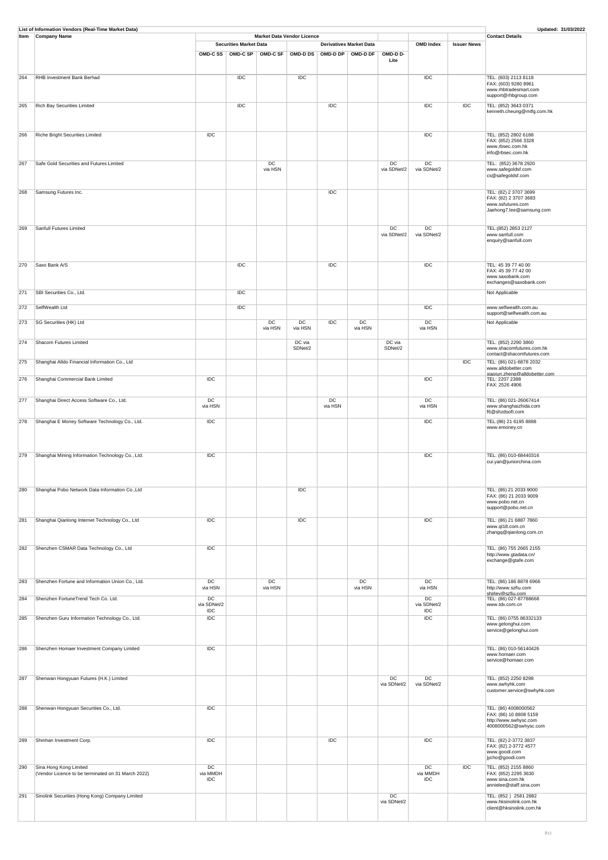| Item | List of Information Vendors (Real-Time Market Data)<br><b>Company Name</b>   | <b>Market Data Vendor Licence</b> |                               |               |                                           |         |                                |                   |                    | Updated: 31/03/2022<br><b>Contact Details</b> |                                                       |
|------|------------------------------------------------------------------------------|-----------------------------------|-------------------------------|---------------|-------------------------------------------|---------|--------------------------------|-------------------|--------------------|-----------------------------------------------|-------------------------------------------------------|
|      |                                                                              |                                   | <b>Securities Market Data</b> |               |                                           |         | <b>Derivatives Market Data</b> |                   | <b>OMD Index</b>   | <b>Issuer News</b>                            |                                                       |
|      |                                                                              |                                   | OMD-CSS OMD-CSP               |               | OMD-C SF   OMD-D DS   OMD-D DP   OMD-D DF |         |                                | OMD-D D-          |                    |                                               |                                                       |
|      |                                                                              |                                   |                               |               |                                           |         |                                | Lite              |                    |                                               |                                                       |
|      |                                                                              |                                   |                               |               |                                           |         |                                |                   |                    |                                               |                                                       |
| 264  | <b>RHB Investment Bank Berhad</b>                                            |                                   | <b>IDC</b>                    |               | <b>IDC</b>                                |         |                                |                   | <b>IDC</b>         |                                               | TEL: (603) 2113 8118<br>FAX: (603) 9280 8961          |
|      |                                                                              |                                   |                               |               |                                           |         |                                |                   |                    |                                               | www.rhbtradesmart.com<br>support@rhbgroup.com         |
|      |                                                                              |                                   | <b>IDC</b>                    |               |                                           | IDC     |                                |                   | <b>IDC</b>         | IDC                                           | TEL: (852) 3643 0371                                  |
| 265  | Rich Bay Securities Limited                                                  |                                   |                               |               |                                           |         |                                |                   |                    |                                               | kenneth.cheung@mtfg.com.hk                            |
|      |                                                                              |                                   |                               |               |                                           |         |                                |                   |                    |                                               |                                                       |
|      |                                                                              |                                   |                               |               |                                           |         |                                |                   |                    |                                               |                                                       |
| 266  | Riche Bright Securities Limited                                              | <b>IDC</b>                        |                               |               |                                           |         |                                |                   | IDC                |                                               | TEL: (852) 2802 6188<br>FAX: (852) 2566 3328          |
|      |                                                                              |                                   |                               |               |                                           |         |                                |                   |                    |                                               | www.rbsec.com.hk<br>info@rbsec.com.hk                 |
|      |                                                                              |                                   |                               |               |                                           |         |                                |                   |                    |                                               |                                                       |
| 267  | Safe Gold Securities and Futures Limited                                     |                                   |                               | DC<br>via HSN |                                           |         |                                | DC<br>via SDNet/2 | DC<br>via SDNet/2  |                                               | TEL: (852) 3678 2920<br>www.safegoldsf.com            |
|      |                                                                              |                                   |                               |               |                                           |         |                                |                   |                    |                                               | cs@safeqoldsf.com                                     |
|      |                                                                              |                                   |                               |               |                                           | IDC     |                                |                   |                    |                                               |                                                       |
| 268  | Samsung Futures Inc.                                                         |                                   |                               |               |                                           |         |                                |                   |                    |                                               | TEL: (82) 2 3707 3699<br>FAX: (82) 2 3707 3683        |
|      |                                                                              |                                   |                               |               |                                           |         |                                |                   |                    |                                               | www.ssfutures.com<br>Jaehong7.lee@samsung.com         |
|      |                                                                              |                                   |                               |               |                                           |         |                                |                   |                    |                                               |                                                       |
| 269  | Sanfull Futures Limited                                                      |                                   |                               |               |                                           |         |                                | DC                | DC                 |                                               | TEL:(852) 2853 2127                                   |
|      |                                                                              |                                   |                               |               |                                           |         |                                | via SDNet/2       | via SDNet/2        |                                               | www.sanfull.com<br>enquiry@sanfull.com                |
|      |                                                                              |                                   |                               |               |                                           |         |                                |                   |                    |                                               |                                                       |
|      |                                                                              |                                   |                               |               |                                           |         |                                |                   |                    |                                               |                                                       |
| 270  | Saxo Bank A/S                                                                |                                   | <b>IDC</b>                    |               |                                           | IDC     |                                |                   | <b>IDC</b>         |                                               | TEL: 45 39 77 40 00                                   |
|      |                                                                              |                                   |                               |               |                                           |         |                                |                   |                    |                                               | FAX: 45 39 77 42 00<br>www.saxobank.com               |
|      |                                                                              |                                   |                               |               |                                           |         |                                |                   |                    |                                               | exchanges@saxobank.com                                |
| 271  | SBI Securities Co., Ltd.                                                     |                                   | <b>IDC</b>                    |               |                                           |         |                                |                   |                    |                                               | Not Applicable                                        |
| 272  | SelfWealth Ltd                                                               |                                   | <b>IDC</b>                    |               |                                           |         |                                |                   | <b>IDC</b>         |                                               | www.selfwealth.com.au                                 |
|      |                                                                              |                                   |                               |               |                                           |         |                                |                   |                    |                                               | support@selfwealth.com.au                             |
| 273  | SG Securities (HK) Ltd                                                       |                                   |                               | DC            | DC                                        | IDC     | DC                             |                   | DC                 |                                               | Not Applicable                                        |
|      |                                                                              |                                   |                               | via HSN       | via HSN                                   |         | via HSN                        |                   | via HSN            |                                               |                                                       |
| 274  | Shacom Futures Limited                                                       |                                   |                               |               | DC via                                    |         |                                | DC via            |                    |                                               | TEL: (852) 2290 3860                                  |
|      |                                                                              |                                   |                               |               | SDNet/2                                   |         |                                | SDNet/2           |                    |                                               | www.shacomfutures.com.hk<br>contact@shacomfutures.com |
| 275  | Shanghai Alldo Financial Information Co., Ltd                                |                                   |                               |               |                                           |         |                                |                   |                    | <b>IDC</b>                                    | TEL: (86) 021-6878 2032                               |
|      |                                                                              |                                   |                               |               |                                           |         |                                |                   |                    |                                               | www.alldobetter.com<br>xiaoiun.zheng@alldobetter.com  |
| 276  | Shanghai Commercial Bank Limited                                             | IDC                               |                               |               |                                           |         |                                |                   | IDC                |                                               | TEL: 2207 2388<br>FAX: 2526 4906                      |
|      |                                                                              |                                   |                               |               |                                           |         |                                |                   |                    |                                               |                                                       |
| 277  | Shanghai Direct Access Software Co., Ltd.                                    | <b>DC</b>                         |                               |               |                                           | DC      |                                |                   | DC                 |                                               | TEL: (86) 021-26067414                                |
|      |                                                                              | via HSN                           |                               |               |                                           | via HSN |                                |                   | via HSN            |                                               | www.shanghaizhida.com<br>f6@shzdsoft.com              |
| 278  | Shanghai E Money Software Technology Co., Ltd.                               | IDC                               |                               |               |                                           |         |                                |                   | <b>IDC</b>         |                                               | TEL:(86) 21 6195 8888                                 |
|      |                                                                              |                                   |                               |               |                                           |         |                                |                   |                    |                                               | www.emoney.cn                                         |
|      |                                                                              |                                   |                               |               |                                           |         |                                |                   |                    |                                               |                                                       |
|      |                                                                              |                                   |                               |               |                                           |         |                                |                   |                    |                                               |                                                       |
| 279  | Shanghai Mining Information Technology Co., Ltd.                             | IDC                               |                               |               |                                           |         |                                |                   | IDC                |                                               | TEL: (86) 010-68440316<br>cui.yan@juniorchina.com     |
|      |                                                                              |                                   |                               |               |                                           |         |                                |                   |                    |                                               |                                                       |
|      |                                                                              |                                   |                               |               |                                           |         |                                |                   |                    |                                               |                                                       |
| 280  | Shanghai Pobo Network Data Information Co., Ltd                              |                                   |                               |               | IDC                                       |         |                                |                   |                    |                                               | TEL: (86) 21 2033 9000                                |
|      |                                                                              |                                   |                               |               |                                           |         |                                |                   |                    |                                               | FAX: (86) 21 2033 9009<br>www.pobo.net.cn             |
|      |                                                                              |                                   |                               |               |                                           |         |                                |                   |                    |                                               | support@pobo.net.cn                                   |
| 281  | Shanghai Qianlong Internet Technology Co., Ltd                               | IDC                               |                               |               | IDC                                       |         |                                |                   | IDC                |                                               | TEL: (86) 21 6887 7860                                |
|      |                                                                              |                                   |                               |               |                                           |         |                                |                   |                    |                                               | www.ql18.com.cn                                       |
|      |                                                                              |                                   |                               |               |                                           |         |                                |                   |                    |                                               | zhangq@qianlong.com.cn                                |
| 282  | Shenzhen CSMAR Data Technology Co., Ltd                                      | <b>IDC</b>                        |                               |               |                                           |         |                                |                   |                    |                                               | TEL: (86) 755 2665 2155                               |
|      |                                                                              |                                   |                               |               |                                           |         |                                |                   |                    |                                               | http://www.gtadata.cn/<br>exchange@gtafe.com          |
|      |                                                                              |                                   |                               |               |                                           |         |                                |                   |                    |                                               |                                                       |
|      |                                                                              |                                   |                               |               |                                           |         |                                |                   |                    |                                               |                                                       |
| 283  | Shenzhen Fortune and Information Union Co., Ltd.                             | DC<br>via HSN                     |                               | DC<br>via HSN |                                           |         | <b>DC</b><br>via HSN           |                   | DC<br>via HSN      |                                               | TEL: (86) 186 8878 6966<br>http://www.szfiu.com       |
| 284  | Shenzhen FortuneTrend Tech Co. Ltd.                                          | DC                                |                               |               |                                           |         |                                |                   | DC                 |                                               | shirlev@szfiu.com<br>TEL: (86) 027-87788668           |
|      |                                                                              | via SDNet/2<br>IDC                |                               |               |                                           |         |                                |                   | via SDNet/2<br>IDC |                                               | www.tdx.com.cn                                        |
| 285  | Shenzhen Guru Information Technology Co., Ltd.                               | IDC                               |                               |               |                                           |         |                                |                   | IDC                |                                               | TEL: (86) 0755 86332133                               |
|      |                                                                              |                                   |                               |               |                                           |         |                                |                   |                    |                                               | www.gelonghui.com<br>service@gelonghui.com            |
|      |                                                                              |                                   |                               |               |                                           |         |                                |                   |                    |                                               |                                                       |
| 286  | Shenzhen Homaer Investment Company Limited                                   | IDC                               |                               |               |                                           |         |                                |                   |                    |                                               | TEL: (86) 010-56140426                                |
|      |                                                                              |                                   |                               |               |                                           |         |                                |                   |                    |                                               | www.homaer.com                                        |
|      |                                                                              |                                   |                               |               |                                           |         |                                |                   |                    |                                               | service@homaer.com                                    |
| 287  | Shenwan Hongyuan Futures (H.K.) Limited                                      |                                   |                               |               |                                           |         |                                | DC                | DC                 |                                               | TEL: (852) 2250 8298                                  |
|      |                                                                              |                                   |                               |               |                                           |         |                                | via SDNet/2       | via SDNet/2        |                                               | www.swhyhk.com                                        |
|      |                                                                              |                                   |                               |               |                                           |         |                                |                   |                    |                                               | customer.service@swhyhk.com                           |
| 288  | Shenwan Hongyuan Securities Co., Ltd.                                        | IDC                               |                               |               |                                           |         |                                |                   |                    |                                               | TEL: (86) 4008000562                                  |
|      |                                                                              |                                   |                               |               |                                           |         |                                |                   |                    |                                               | FAX: (86) 10 8808 5159                                |
|      |                                                                              |                                   |                               |               |                                           |         |                                |                   |                    |                                               | http://www.swhysc.com<br>4008000562@swhysc.com        |
|      |                                                                              |                                   |                               |               |                                           |         |                                |                   |                    |                                               |                                                       |
| 289  | Shinhan Investment Corp.                                                     | IDC                               |                               |               |                                           | IDC     |                                |                   | <b>IDC</b>         |                                               | TEL: (82) 2-3772 3837<br>FAX: (82) 2-3772 4577        |
|      |                                                                              |                                   |                               |               |                                           |         |                                |                   |                    |                                               | www.goodi.com                                         |
|      |                                                                              | DC                                |                               |               |                                           |         |                                |                   | DC                 | <b>IDC</b>                                    | jycho@goodi.com<br>TEL: (852) 2155 8860               |
| 290  | Sina Hong Kong Limited<br>(Vendor Licence to be terminated on 31 March 2022) | via MMDH                          |                               |               |                                           |         |                                |                   | via MMDH           |                                               | FAX: (852) 2295 3630                                  |
|      |                                                                              | IDC                               |                               |               |                                           |         |                                |                   | IDC                |                                               | www.sina.com.hk<br>annielee@staff.sina.com            |
| 291  | Sinolink Securities (Hong Kong) Company Limited                              |                                   |                               |               |                                           |         |                                | DC                |                    |                                               | TEL: (852) 2581 2882                                  |
|      |                                                                              |                                   |                               |               |                                           |         |                                | via SDNet/2       |                    |                                               | www.hksinolink.com.hk                                 |
|      |                                                                              |                                   |                               |               |                                           |         |                                |                   |                    |                                               | client@hksinolink.com.hk                              |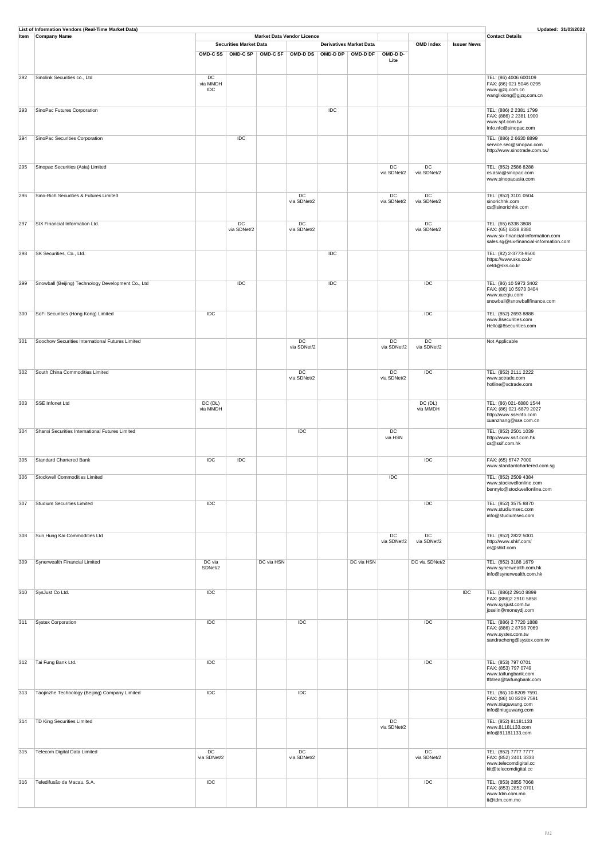| List of Information Vendors (Real-Time Market Data) |                                                    |                   |                               |            |                                   |            |                                |                     |                   |                    | Updated: 31/03/2022                                      |
|-----------------------------------------------------|----------------------------------------------------|-------------------|-------------------------------|------------|-----------------------------------|------------|--------------------------------|---------------------|-------------------|--------------------|----------------------------------------------------------|
|                                                     | Item Company Name                                  |                   |                               |            | <b>Market Data Vendor Licence</b> |            |                                |                     |                   |                    | <b>Contact Details</b>                                   |
|                                                     |                                                    |                   | <b>Securities Market Data</b> |            |                                   |            | <b>Derivatives Market Data</b> |                     | <b>OMD Index</b>  | <b>Issuer News</b> |                                                          |
|                                                     |                                                    | OMD-CSS           | OMD-C SP                      | OMD-C SF   | OMD-D DS                          |            | OMD-D DP OMD-D DF              | OMD-D D-<br>Lite    |                   |                    |                                                          |
|                                                     |                                                    |                   |                               |            |                                   |            |                                |                     |                   |                    |                                                          |
| 292                                                 | Sinolink Securities co., Ltd                       | DC                |                               |            |                                   |            |                                |                     |                   |                    | TEL: (86) 4006 600109                                    |
|                                                     |                                                    | via MMDH<br>IDC   |                               |            |                                   |            |                                |                     |                   |                    | FAX: (86) 021 5046 0295                                  |
|                                                     |                                                    |                   |                               |            |                                   |            |                                |                     |                   |                    | www.gjzq.com.cn<br>wanglixiong@gjzq.com.cn               |
|                                                     |                                                    |                   |                               |            |                                   |            |                                |                     |                   |                    |                                                          |
| 293                                                 | SinoPac Futures Corporation                        |                   |                               |            |                                   | IDC        |                                |                     |                   |                    | TEL: (886) 2 2381 1799                                   |
|                                                     |                                                    |                   |                               |            |                                   |            |                                |                     |                   |                    | FAX: (886) 2 2381 1900<br>www.spf.com.tw                 |
|                                                     |                                                    |                   |                               |            |                                   |            |                                |                     |                   |                    | Info.nfc@sinopac.com                                     |
| 294                                                 | SinoPac Securities Corporation                     |                   | <b>IDC</b>                    |            |                                   |            |                                |                     |                   |                    | TEL: (886) 2 6630 8899                                   |
|                                                     |                                                    |                   |                               |            |                                   |            |                                |                     |                   |                    | service.sec@sinopac.com                                  |
|                                                     |                                                    |                   |                               |            |                                   |            |                                |                     |                   |                    | http://www.sinotrade.com.tw/                             |
|                                                     |                                                    |                   |                               |            |                                   |            |                                | DC                  | DC                |                    | TEL: (852) 2586 8288                                     |
| 295                                                 | Sinopac Securities (Asia) Limited                  |                   |                               |            |                                   |            |                                | via SDNet/2         | via SDNet/2       |                    | cs.asia@sinopac.com                                      |
|                                                     |                                                    |                   |                               |            |                                   |            |                                |                     |                   |                    | www.sinopacasia.com                                      |
|                                                     |                                                    |                   |                               |            |                                   |            |                                |                     |                   |                    |                                                          |
| 296                                                 | Sino-Rich Securities & Futures Limited             |                   |                               |            | <b>DC</b><br>via SDNet/2          |            |                                | DC<br>via SDNet/2   | DC<br>via SDNet/2 |                    | TEL: (852) 3101 0504<br>sinorichhk.com                   |
|                                                     |                                                    |                   |                               |            |                                   |            |                                |                     |                   |                    | cs@sinorichhk.com                                        |
|                                                     |                                                    |                   |                               |            |                                   |            |                                |                     |                   |                    |                                                          |
| 297                                                 | SIX Financial Information Ltd.                     |                   | DC                            |            | DC                                |            |                                |                     | DC                |                    | TEL: (65) 6338 3808                                      |
|                                                     |                                                    |                   | via SDNet/2                   |            | via SDNet/2                       |            |                                |                     | via SDNet/2       |                    | FAX: (65) 6338 8380<br>www.six-financial-information.com |
|                                                     |                                                    |                   |                               |            |                                   |            |                                |                     |                   |                    | sales.sg@six-financial-information.com                   |
|                                                     |                                                    |                   |                               |            |                                   |            |                                |                     |                   |                    |                                                          |
| 298                                                 | SK Securities, Co., Ltd.                           |                   |                               |            |                                   | <b>IDC</b> |                                |                     |                   |                    | TEL: (82) 2-3773-9500<br>https://www.sks.co.kr           |
|                                                     |                                                    |                   |                               |            |                                   |            |                                |                     |                   |                    | oetd@sks.co.kr                                           |
|                                                     |                                                    |                   |                               |            |                                   |            |                                |                     |                   |                    |                                                          |
| 299                                                 | Snowball (Beijing) Technology Development Co., Ltd |                   | <b>IDC</b>                    |            |                                   | IDC        |                                |                     | IDC               |                    | TEL: (86) 10 5973 3402                                   |
|                                                     |                                                    |                   |                               |            |                                   |            |                                |                     |                   |                    | FAX: (86) 10 5973 3404<br>www.xueqiu.com                 |
|                                                     |                                                    |                   |                               |            |                                   |            |                                |                     |                   |                    | snowball@snowballfinance.com                             |
|                                                     |                                                    |                   |                               |            |                                   |            |                                |                     |                   |                    |                                                          |
| 300                                                 | SoFi Securities (Hong Kong) Limited                | <b>IDC</b>        |                               |            |                                   |            |                                |                     | IDC               |                    | TEL: (852) 2693 8888<br>www.8securities.com              |
|                                                     |                                                    |                   |                               |            |                                   |            |                                |                     |                   |                    | Hello@8securities.com                                    |
|                                                     |                                                    |                   |                               |            |                                   |            |                                |                     |                   |                    |                                                          |
| 301                                                 | Soochow Securities International Futures Limited   |                   |                               |            | DC                                |            |                                | DC                  | DC                |                    | Not Applicable                                           |
|                                                     |                                                    |                   |                               |            | via SDNet/2                       |            |                                | via SDNet/2         | via SDNet/2       |                    |                                                          |
|                                                     |                                                    |                   |                               |            |                                   |            |                                |                     |                   |                    |                                                          |
| 302                                                 | South China Commodities Limited                    |                   |                               |            | DC                                |            |                                | DC                  | IDC               |                    | TEL: (852) 2111 2222                                     |
|                                                     |                                                    |                   |                               |            | via SDNet/2                       |            |                                | via SDNet/2         |                   |                    | www.sctrade.com                                          |
|                                                     |                                                    |                   |                               |            |                                   |            |                                |                     |                   |                    | hotline@sctrade.com                                      |
|                                                     |                                                    |                   |                               |            |                                   |            |                                |                     |                   |                    |                                                          |
| 303                                                 | <b>SSE Infonet Ltd</b>                             | DC (DL)           |                               |            |                                   |            |                                |                     | DC (DL)           |                    | TEL: (86) 021-6880 1544                                  |
|                                                     |                                                    | via MMDH          |                               |            |                                   |            |                                |                     | via MMDH          |                    | FAX: (86) 021-6879 2027<br>http://www.sseinfo.com        |
|                                                     |                                                    |                   |                               |            |                                   |            |                                |                     |                   |                    | xuanzhang@sse.com.cn                                     |
| 304                                                 | Shanxi Securities International Futures Limited    |                   |                               |            | IDC                               |            |                                | DC                  |                   |                    | TEL: (852) 2501 1039                                     |
|                                                     |                                                    |                   |                               |            |                                   |            |                                | via HSN             |                   |                    | http://www.ssif.com.hk                                   |
|                                                     |                                                    |                   |                               |            |                                   |            |                                |                     |                   |                    | cs@ssif.com.hk                                           |
|                                                     |                                                    |                   |                               |            |                                   |            |                                |                     |                   |                    |                                                          |
| 305                                                 | <b>Standard Chartered Bank</b>                     | <b>IDC</b>        | <b>IDC</b>                    |            |                                   |            |                                |                     | <b>IDC</b>        |                    | FAX: (65) 6747 7000<br>www.standardchartered.com.sg      |
|                                                     |                                                    |                   |                               |            |                                   |            |                                |                     |                   |                    |                                                          |
| 306                                                 | Stockwell Commodities Limited                      |                   |                               |            |                                   |            |                                | <b>IDC</b>          |                   |                    | TEL: (852) 2509 4384<br>www.stockwellonline.c            |
|                                                     |                                                    |                   |                               |            |                                   |            |                                |                     |                   |                    | bennylo@stockwellonline.com                              |
|                                                     |                                                    |                   |                               |            |                                   |            |                                |                     |                   |                    |                                                          |
| 307                                                 | Studium Securities Limited                         | IDC               |                               |            |                                   |            |                                |                     | <b>IDC</b>        |                    | TEL: (852) 3575 8870                                     |
|                                                     |                                                    |                   |                               |            |                                   |            |                                |                     |                   |                    | www.studiumsec.com<br>info@studiumsec.com                |
|                                                     |                                                    |                   |                               |            |                                   |            |                                |                     |                   |                    |                                                          |
|                                                     |                                                    |                   |                               |            |                                   |            |                                |                     |                   |                    |                                                          |
| 308                                                 | Sun Hung Kai Commodities Ltd                       |                   |                               |            |                                   |            |                                | $DC$<br>via SDNet/2 | DC<br>via SDNet/2 |                    | TEL: (852) 2822 5001<br>http://www.shkf.com/             |
|                                                     |                                                    |                   |                               |            |                                   |            |                                |                     |                   |                    | cs@shkf.com                                              |
|                                                     |                                                    |                   |                               |            |                                   |            |                                |                     |                   |                    |                                                          |
| 309                                                 | Synerwealth Financial Limited                      | DC via<br>SDNet/2 |                               | DC via HSN |                                   |            | DC via HSN                     |                     | DC via SDNet/2    |                    | TEL: (852) 3188 1679<br>www.synerwealth.com.hk           |
|                                                     |                                                    |                   |                               |            |                                   |            |                                |                     |                   |                    | info@synerwealth.com.hk                                  |
|                                                     |                                                    |                   |                               |            |                                   |            |                                |                     |                   |                    |                                                          |
| 310                                                 | SysJust Co Ltd.                                    | <b>IDC</b>        |                               |            |                                   |            |                                |                     |                   | <b>IDC</b>         | TEL: (886)2 2910 8899                                    |
|                                                     |                                                    |                   |                               |            |                                   |            |                                |                     |                   |                    | FAX: (886)2 2910 5858                                    |
|                                                     |                                                    |                   |                               |            |                                   |            |                                |                     |                   |                    | www.sysjust.com.tw<br>joselin@moneydj.com                |
|                                                     |                                                    |                   |                               |            |                                   |            |                                |                     |                   |                    |                                                          |
| 311                                                 | Systex Corporation                                 | IDC               |                               |            | IDC                               |            |                                |                     | IDC               |                    | TEL: (886) 2 7720 1888<br>FAX: (886) 2 8798 7069         |
|                                                     |                                                    |                   |                               |            |                                   |            |                                |                     |                   |                    | www.systex.com.tw                                        |
|                                                     |                                                    |                   |                               |            |                                   |            |                                |                     |                   |                    | sandracheng@systex.com.tw                                |
|                                                     |                                                    |                   |                               |            |                                   |            |                                |                     |                   |                    |                                                          |
| 312                                                 | Tai Fung Bank Ltd.                                 | <b>IDC</b>        |                               |            |                                   |            |                                |                     | IDC               |                    | TEL: (853) 797 0701                                      |
|                                                     |                                                    |                   |                               |            |                                   |            |                                |                     |                   |                    | FAX: (853) 797 0749                                      |
|                                                     |                                                    |                   |                               |            |                                   |            |                                |                     |                   |                    | www.taifungbank.com<br>tfbtrea@taifungbank.com           |
|                                                     |                                                    |                   |                               |            |                                   |            |                                |                     |                   |                    |                                                          |
| 313                                                 | Taojinzhe Technology (Beijing) Company Limited     | <b>IDC</b>        |                               |            | IDC                               |            |                                |                     |                   |                    | TEL: (86) 10 8209 7591<br>FAX: (86) 10 8209 7591         |
|                                                     |                                                    |                   |                               |            |                                   |            |                                |                     |                   |                    | www.niuguwang.com                                        |
|                                                     |                                                    |                   |                               |            |                                   |            |                                |                     |                   |                    | info@niuguwang.com                                       |
| 314                                                 | TD King Securities Limited                         |                   |                               |            |                                   |            |                                | DC                  |                   |                    | TEL: (852) 81181133                                      |
|                                                     |                                                    |                   |                               |            |                                   |            |                                | via SDNet/2         |                   |                    | www.81181133.com<br>info@81181133.com                    |
|                                                     |                                                    |                   |                               |            |                                   |            |                                |                     |                   |                    |                                                          |
|                                                     |                                                    |                   |                               |            |                                   |            |                                |                     |                   |                    |                                                          |
| 315                                                 | Telecom Digital Data Limited                       | DC<br>via SDNet/2 |                               |            | DC<br>via SDNet/2                 |            |                                |                     | DC<br>via SDNet/2 |                    | TEL: (852) 7777 7777<br>FAX: (852) 2401 3333             |
|                                                     |                                                    |                   |                               |            |                                   |            |                                |                     |                   |                    | www.telecomdigital.cc                                    |
|                                                     |                                                    |                   |                               |            |                                   |            |                                |                     |                   |                    | kit@telecomdigital.cc                                    |
| 316                                                 | Teledifusão de Macau, S.A.                         | IDC               |                               |            |                                   |            |                                |                     | <b>IDC</b>        |                    | TEL: (853) 2855 7068                                     |
|                                                     |                                                    |                   |                               |            |                                   |            |                                |                     |                   |                    | FAX: (853) 2852 0701<br>www.tdm.com.mo                   |
|                                                     |                                                    |                   |                               |            |                                   |            |                                |                     |                   |                    | it@tdm.com.mo                                            |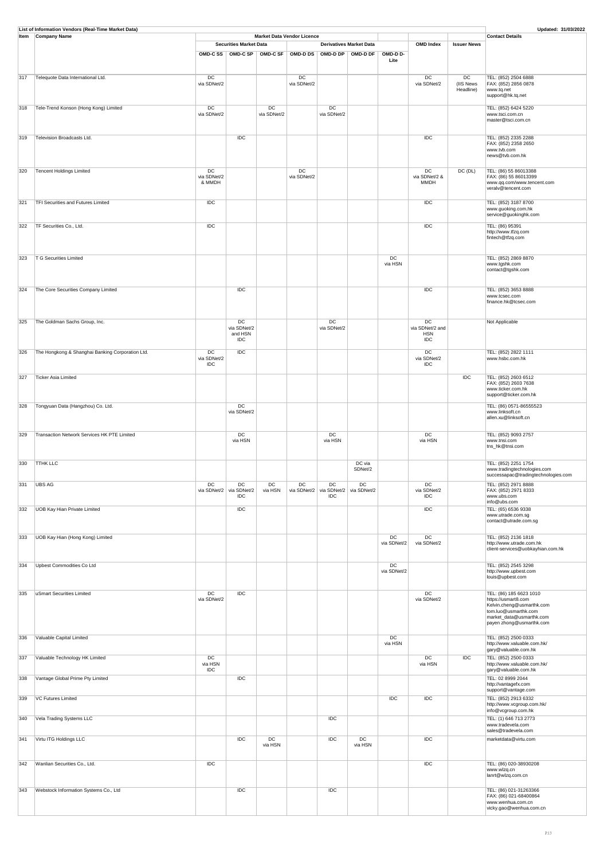|      | List of Information Vendors (Real-Time Market Data) |                               |                               |               |                                                                     |                   |                                     |                  |                       | Updated: 31/03/2022    |                                                      |
|------|-----------------------------------------------------|-------------------------------|-------------------------------|---------------|---------------------------------------------------------------------|-------------------|-------------------------------------|------------------|-----------------------|------------------------|------------------------------------------------------|
| Item | <b>Company Name</b>                                 | <b>Securities Market Data</b> |                               |               | <b>Market Data Vendor Licence</b><br><b>Derivatives Market Data</b> |                   |                                     |                  |                       |                        | <b>Contact Details</b>                               |
|      |                                                     |                               |                               |               |                                                                     |                   |                                     |                  | <b>OMD Index</b>      | <b>Issuer News</b>     |                                                      |
|      |                                                     |                               | OMD-C SS   OMD-C SP           | OMD-C SF      | OMD-D DS                                                            | OMD-D DP          | OMD-D DF                            | OMD-D D-<br>Lite |                       |                        |                                                      |
|      |                                                     |                               |                               |               |                                                                     |                   |                                     |                  |                       |                        |                                                      |
| 317  | Telequote Data International Ltd.                   | DC                            |                               |               | DC                                                                  |                   |                                     |                  | DC                    | DC                     | TEL: (852) 2504 6888                                 |
|      |                                                     | via SDNet/2                   |                               |               | via SDNet/2                                                         |                   |                                     |                  | via SDNet/2           | (IIS News<br>Headline) | FAX: (852) 2856 0878<br>www.tq.net                   |
|      |                                                     |                               |                               |               |                                                                     |                   |                                     |                  |                       |                        | support@hk.tq.net                                    |
| 318  | Tele-Trend Konson (Hong Kong) Limited               | DC                            |                               | DC            |                                                                     | DC                |                                     |                  |                       |                        | TEL: (852) 6424 5220                                 |
|      |                                                     | via SDNet/2                   |                               | via SDNet/2   |                                                                     | via SDNet/2       |                                     |                  |                       |                        | www.tsci.com.cn<br>master@tsci.com.cn                |
|      |                                                     |                               |                               |               |                                                                     |                   |                                     |                  |                       |                        |                                                      |
| 319  | Television Broadcasts Ltd.                          |                               | IDC                           |               |                                                                     |                   |                                     |                  | <b>IDC</b>            |                        | TEL: (852) 2335 2288                                 |
|      |                                                     |                               |                               |               |                                                                     |                   |                                     |                  |                       |                        | FAX: (852) 2358 2650<br>www.tvb.com                  |
|      |                                                     |                               |                               |               |                                                                     |                   |                                     |                  |                       |                        | news@tvb.com.hk                                      |
|      |                                                     |                               |                               |               |                                                                     |                   |                                     |                  |                       |                        |                                                      |
| 320  | <b>Tencent Holdings Limited</b>                     | DC<br>via SDNet/2             |                               |               | DC<br>via SDNet/2                                                   |                   |                                     |                  | DC<br>via SDNet/2 &   | DC (DL)                | TEL: (86) 55 86013388<br>FAX: (86) 55 86013399       |
|      |                                                     | & MMDH                        |                               |               |                                                                     |                   |                                     |                  | MMDH                  |                        | www.qq.com/www.tencent.com                           |
|      |                                                     |                               |                               |               |                                                                     |                   |                                     |                  |                       |                        | veralv@tencent.com                                   |
| 321  | TFI Securities and Futures Limited                  | IDC                           |                               |               |                                                                     |                   |                                     |                  | <b>IDC</b>            |                        | TEL: (852) 3187 8700                                 |
|      |                                                     |                               |                               |               |                                                                     |                   |                                     |                  |                       |                        | www.guoking.com.hk<br>service@guokinghk.com          |
| 322  | TF Securities Co., Ltd.                             | IDC                           |                               |               |                                                                     |                   |                                     |                  | <b>IDC</b>            |                        | TEL: (86) 95391                                      |
|      |                                                     |                               |                               |               |                                                                     |                   |                                     |                  |                       |                        | http://www.tfzq.com                                  |
|      |                                                     |                               |                               |               |                                                                     |                   |                                     |                  |                       |                        | fintech@tfzq.com                                     |
|      |                                                     |                               |                               |               |                                                                     |                   |                                     |                  |                       |                        |                                                      |
| 323  | T G Securities Limited                              |                               |                               |               |                                                                     |                   |                                     | DC<br>via HSN    |                       |                        | TEL: (852) 2869 8870<br>www.tgshk.com                |
|      |                                                     |                               |                               |               |                                                                     |                   |                                     |                  |                       |                        | contact@tgshk.com                                    |
|      |                                                     |                               |                               |               |                                                                     |                   |                                     |                  |                       |                        |                                                      |
| 324  | The Core Securities Company Limited                 |                               | <b>IDC</b>                    |               |                                                                     |                   |                                     |                  | <b>IDC</b>            |                        | TEL: (852) 3653 8888                                 |
|      |                                                     |                               |                               |               |                                                                     |                   |                                     |                  |                       |                        | www.tcsec.com                                        |
|      |                                                     |                               |                               |               |                                                                     |                   |                                     |                  |                       |                        | finance.hk@tcsec.com                                 |
|      |                                                     |                               |                               |               |                                                                     |                   |                                     |                  |                       |                        |                                                      |
| 325  | The Goldman Sachs Group, Inc.                       |                               | DC<br>via SDNet/2             |               |                                                                     | DC<br>via SDNet/2 |                                     |                  | DC<br>via SDNet/2 and |                        | Not Applicable                                       |
|      |                                                     |                               | and HSN<br><b>IDC</b>         |               |                                                                     |                   |                                     |                  | <b>HSN</b><br>IDC     |                        |                                                      |
|      |                                                     |                               |                               |               |                                                                     |                   |                                     |                  |                       |                        |                                                      |
| 326  | The Hongkong & Shanghai Banking Corporation Ltd.    | DC                            | IDC                           |               |                                                                     |                   |                                     |                  | DC                    |                        | TEL: (852) 2822 1111                                 |
|      |                                                     | via SDNet/2<br>IDC            |                               |               |                                                                     |                   |                                     |                  | via SDNet/2<br>IDC    |                        | www.hsbc.com.hk                                      |
| 327  | <b>Ticker Asia Limited</b>                          |                               |                               |               |                                                                     |                   |                                     |                  |                       | <b>IDC</b>             |                                                      |
|      |                                                     |                               |                               |               |                                                                     |                   |                                     |                  |                       |                        | TEL: (852) 2603 6512<br>FAX: (852) 2603 7638         |
|      |                                                     |                               |                               |               |                                                                     |                   |                                     |                  |                       |                        | www.ticker.com.hk<br>support@ticker.com.hk           |
|      |                                                     |                               |                               |               |                                                                     |                   |                                     |                  |                       |                        |                                                      |
| 328  | Tongyuan Data (Hangzhou) Co. Ltd.                   |                               | DC<br>via SDNet/2             |               |                                                                     |                   |                                     |                  |                       |                        | TEL: (86) 0571-86555523<br>www.linksoft.cn           |
|      |                                                     |                               |                               |               |                                                                     |                   |                                     |                  |                       |                        | allen.xu@linksoft.cn                                 |
|      |                                                     |                               |                               |               |                                                                     |                   |                                     |                  |                       |                        |                                                      |
| 329  | Transaction Network Services HK PTE Limited         |                               | DC<br>via HSN                 |               |                                                                     | DC<br>via HSN     |                                     |                  | DC<br>via HSN         |                        | TEL: (852) 9093 2757<br>www.tnsi.com                 |
|      |                                                     |                               |                               |               |                                                                     |                   |                                     |                  |                       |                        | tns_hk@tnsi.com                                      |
|      |                                                     |                               |                               |               |                                                                     |                   |                                     |                  |                       |                        |                                                      |
| 330  | <b>TTHK LLC</b>                                     |                               |                               |               |                                                                     |                   | DC via<br>SDNet/2                   |                  |                       |                        | TEL: (852) 2251 1754<br>www.tradingtechnologies.com  |
|      |                                                     |                               |                               |               |                                                                     |                   |                                     |                  |                       |                        | successapac@tradingtechnologies.com                  |
|      | 331 UBS AG                                          | DC                            | DC<br>via SDNet/2 via SDNet/2 | DC<br>via HSN | DG.                                                                 | DC                | ט -                                 |                  | DG<br>via SDNet/2     |                        | TEL: (852) 2971 8888<br>FAX: (852) 2971 8333         |
|      |                                                     |                               | IDC                           |               |                                                                     | IDC               | via SDNet/2 via SDNet/2 via SDNet/2 |                  | IDC                   |                        | www.ubs.com                                          |
| 332  | <b>UOB Kay Hian Private Limited</b>                 |                               | <b>IDC</b>                    |               |                                                                     |                   |                                     |                  | <b>IDC</b>            |                        | info@ubs.com<br>TEL: (65) 6536 9338                  |
|      |                                                     |                               |                               |               |                                                                     |                   |                                     |                  |                       |                        | www.utrade.com.sg                                    |
|      |                                                     |                               |                               |               |                                                                     |                   |                                     |                  |                       |                        | contact@utrade.com.sg                                |
| 333  | UOB Kay Hian (Hong Kong) Limited                    |                               |                               |               |                                                                     |                   |                                     | DC               | DC                    |                        | TEL: (852) 2136 1818                                 |
|      |                                                     |                               |                               |               |                                                                     |                   |                                     | via SDNet/2      | via SDNet/2           |                        | http://www.utrade.com.hk                             |
|      |                                                     |                               |                               |               |                                                                     |                   |                                     |                  |                       |                        | client-services@uobkayhian.com.hk                    |
| 334  | Upbest Commodities Co Ltd                           |                               |                               |               |                                                                     |                   |                                     | DC               |                       |                        | TEL: (852) 2545 3298                                 |
|      |                                                     |                               |                               |               |                                                                     |                   |                                     | via SDNet/2      |                       |                        | http://www.upbest.com                                |
|      |                                                     |                               |                               |               |                                                                     |                   |                                     |                  |                       |                        | louis@upbest.com                                     |
| 335  | uSmart Securities Limited                           | DC                            | <b>IDC</b>                    |               |                                                                     |                   |                                     |                  | DC                    |                        | TEL: (86) 185 6623 1010                              |
|      |                                                     | via SDNet/2                   |                               |               |                                                                     |                   |                                     |                  | via SDNet/2           |                        | https://usmart8.com                                  |
|      |                                                     |                               |                               |               |                                                                     |                   |                                     |                  |                       |                        | Kelvin.cheng@usmarthk.com<br>tom.luo@usmarthk.com    |
|      |                                                     |                               |                               |               |                                                                     |                   |                                     |                  |                       |                        | market_data@usmarthk.com<br>payen zhong@usmarthk.com |
|      |                                                     |                               |                               |               |                                                                     |                   |                                     |                  |                       |                        |                                                      |
| 336  | Valuable Capital Limited                            |                               |                               |               |                                                                     |                   |                                     | $DC$             |                       |                        | TEL: (852) 2500 0333                                 |
|      |                                                     |                               |                               |               |                                                                     |                   |                                     | via HSN          |                       |                        | http://www.valuable.com.hk/<br>gary@valuable.com.hk  |
| 337  | Valuable Technology HK Limited                      | DC                            |                               |               |                                                                     |                   |                                     |                  | DC                    | <b>IDC</b>             | TEL: (852) 2500 0333                                 |
|      |                                                     | via HSN<br>IDC                |                               |               |                                                                     |                   |                                     |                  | via HSN               |                        | http://www.valuable.com.hk/<br>gary@valuable.com.hk  |
| 338  | Vantage Global Prime Pty Limited                    |                               | <b>IDC</b>                    |               |                                                                     |                   |                                     |                  |                       |                        | TEL: 02 8999 2044                                    |
|      |                                                     |                               |                               |               |                                                                     |                   |                                     |                  |                       |                        | http://vantagefx.com<br>support@vantage.com          |
| 339  | VC Futures Limited                                  |                               |                               |               |                                                                     |                   |                                     | IDC              | <b>IDC</b>            |                        | TEL: (852) 2913 6332                                 |
|      |                                                     |                               |                               |               |                                                                     |                   |                                     |                  |                       |                        | http://www.vcgroup.com.hk/                           |
| 340  | Vela Trading Systems LLC                            |                               |                               |               |                                                                     | IDC               |                                     |                  |                       |                        | info@vcgroup.com.hk<br>TEL: (1) 646 713 2773         |
|      |                                                     |                               |                               |               |                                                                     |                   |                                     |                  |                       |                        | www.tradevela.com                                    |
|      |                                                     |                               |                               |               |                                                                     |                   |                                     |                  |                       |                        | sales@tradevela.com                                  |
| 341  | Virtu ITG Holdings LLC                              |                               | <b>IDC</b>                    | DC<br>via HSN |                                                                     | <b>IDC</b>        | DC<br>via HSN                       |                  | <b>IDC</b>            |                        | marketdata@virtu.com                                 |
|      |                                                     |                               |                               |               |                                                                     |                   |                                     |                  |                       |                        |                                                      |
| 342  | Wanlian Securities Co., Ltd.                        | <b>IDC</b>                    |                               |               |                                                                     |                   |                                     |                  | <b>IDC</b>            |                        | TEL: (86) 020-38930208                               |
|      |                                                     |                               |                               |               |                                                                     |                   |                                     |                  |                       |                        | www.wlzq.cn<br>lanrt@wlzq.com.cn                     |
|      |                                                     |                               |                               |               |                                                                     |                   |                                     |                  |                       |                        |                                                      |
| 343  | Webstock Information Systems Co., Ltd               |                               | IDC                           |               |                                                                     | IDC               |                                     |                  |                       |                        | TEL: (86) 021-31263366                               |
|      |                                                     |                               |                               |               |                                                                     |                   |                                     |                  |                       |                        | FAX: (86) 021-68400864<br>www.wenhua.com.cn          |
|      |                                                     |                               |                               |               |                                                                     |                   |                                     |                  |                       |                        | vicky.gao@wenhua.com.cn                              |